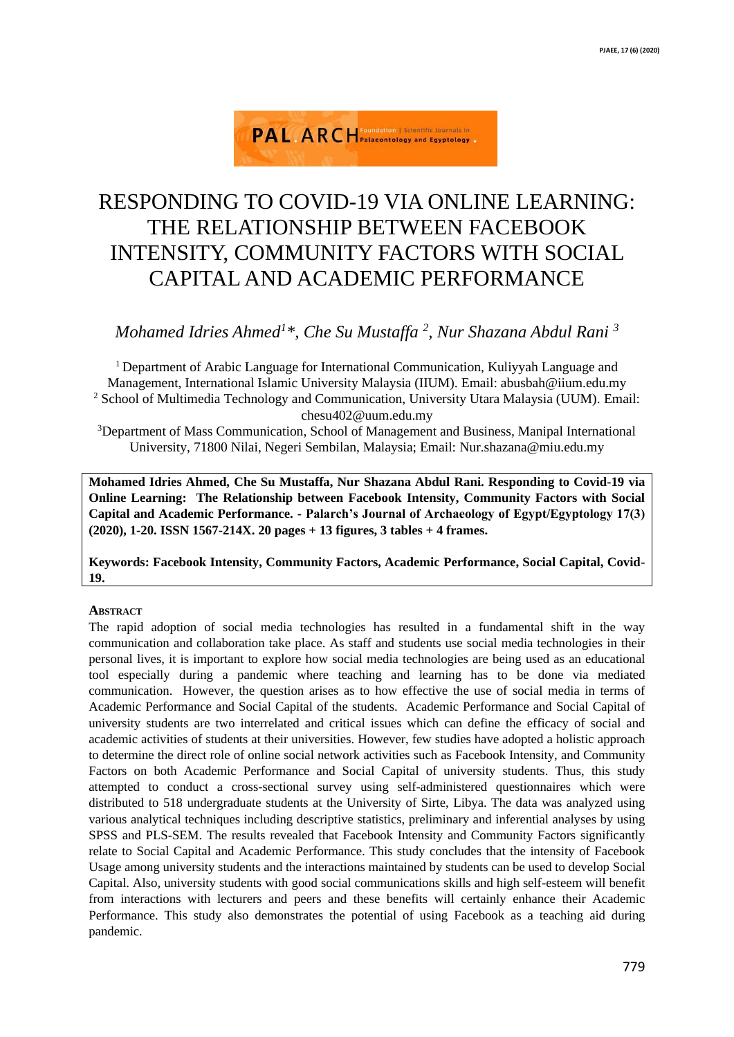

# RESPONDING TO COVID-19 VIA ONLINE LEARNING: THE RELATIONSHIP BETWEEN FACEBOOK INTENSITY, COMMUNITY FACTORS WITH SOCIAL CAPITAL AND ACADEMIC PERFORMANCE

*Mohamed Idries Ahmed<sup>1</sup>\*, Che Su Mustaffa <sup>2</sup> , Nur Shazana Abdul Rani <sup>3</sup>*

<sup>1</sup>Department of Arabic Language for International Communication, Kuliyyah Language and Management, International Islamic University Malaysia (IIUM). Email: abusbah@iium.edu.my <sup>2</sup> School of Multimedia Technology and Communication, University Utara Malaysia (UUM). Email: chesu402@uum.edu.my

<sup>3</sup>Department of Mass Communication, School of Management and Business, Manipal International University, 71800 Nilai, Negeri Sembilan, Malaysia; Email: Nur.shazana@miu.edu.my

**Mohamed Idries Ahmed, Che Su Mustaffa, Nur Shazana Abdul Rani. Responding to Covid-19 via Online Learning: The Relationship between Facebook Intensity, Community Factors with Social Capital and Academic Performance. - Palarch's Journal of Archaeology of Egypt/Egyptology 17(3) (2020), 1-20. ISSN 1567-214X. 20 pages + 13 figures, 3 tables + 4 frames.**

**Keywords: Facebook Intensity, Community Factors, Academic Performance, Social Capital, Covid-19.**

# **ABSTRACT**

The rapid adoption of social media technologies has resulted in a fundamental shift in the way communication and collaboration take place. As staff and students use social media technologies in their personal lives, it is important to explore how social media technologies are being used as an educational tool especially during a pandemic where teaching and learning has to be done via mediated communication. However, the question arises as to how effective the use of social media in terms of Academic Performance and Social Capital of the students. Academic Performance and Social Capital of university students are two interrelated and critical issues which can define the efficacy of social and academic activities of students at their universities. However, few studies have adopted a holistic approach to determine the direct role of online social network activities such as Facebook Intensity, and Community Factors on both Academic Performance and Social Capital of university students. Thus, this study attempted to conduct a cross-sectional survey using self-administered questionnaires which were distributed to 518 undergraduate students at the University of Sirte, Libya. The data was analyzed using various analytical techniques including descriptive statistics, preliminary and inferential analyses by using SPSS and PLS-SEM. The results revealed that Facebook Intensity and Community Factors significantly relate to Social Capital and Academic Performance. This study concludes that the intensity of Facebook Usage among university students and the interactions maintained by students can be used to develop Social Capital. Also, university students with good social communications skills and high self-esteem will benefit from interactions with lecturers and peers and these benefits will certainly enhance their Academic Performance. This study also demonstrates the potential of using Facebook as a teaching aid during pandemic.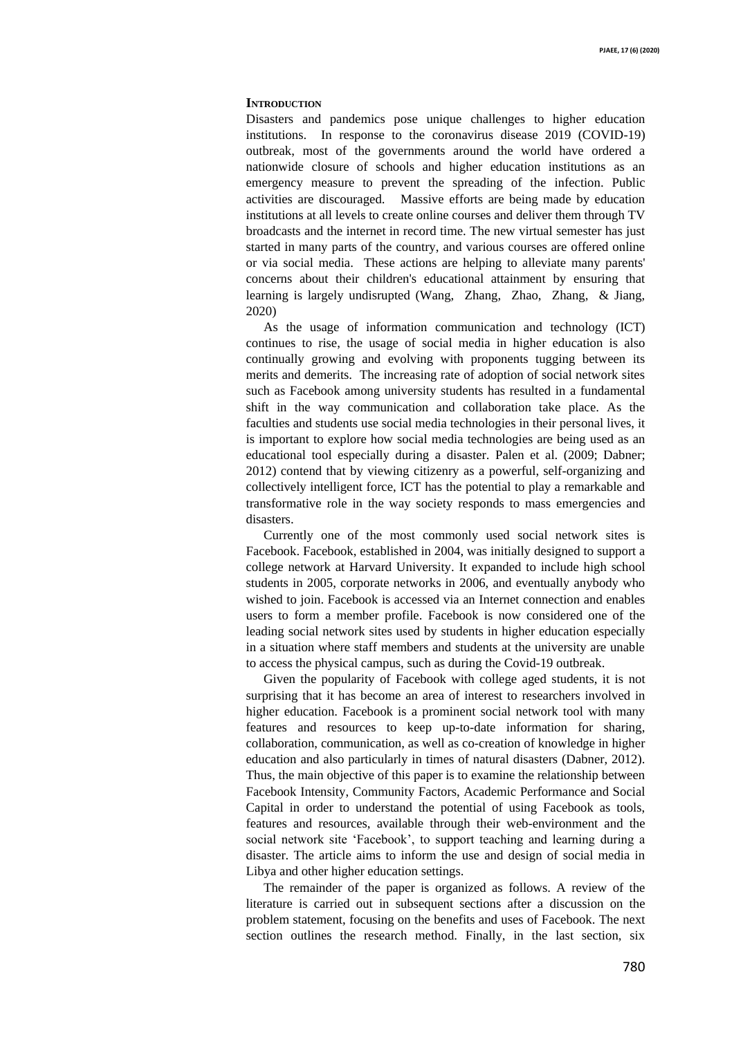#### **INTRODUCTION**

Disasters and pandemics pose unique challenges to higher education institutions. In response to the coronavirus disease 2019 (COVID-19) outbreak, most of the governments around the world have ordered a nationwide closure of schools and higher education institutions as an emergency measure to prevent the spreading of the infection. Public activities are discouraged. Massive efforts are being made by education institutions at all levels to create online courses and deliver them through TV broadcasts and the internet in record time. The new virtual semester has just started in many parts of the country, and various courses are offered online or via social media. These actions are helping to alleviate many parents' concerns about their children's educational attainment by ensuring that learning is largely undisrupted (Wang, Zhang, Zhao, Zhang, & Jiang, 2020)

As the usage of information communication and technology (ICT) continues to rise, the usage of social media in higher education is also continually growing and evolving with proponents tugging between its merits and demerits. The increasing rate of adoption of social network sites such as Facebook among university students has resulted in a fundamental shift in the way communication and collaboration take place. As the faculties and students use social media technologies in their personal lives, it is important to explore how social media technologies are being used as an educational tool especially during a disaster. Palen et al. (2009; Dabner; 2012) contend that by viewing citizenry as a powerful, self-organizing and collectively intelligent force, ICT has the potential to play a remarkable and transformative role in the way society responds to mass emergencies and disasters.

Currently one of the most commonly used social network sites is Facebook. Facebook, established in 2004, was initially designed to support a college network at Harvard University. It expanded to include high school students in 2005, corporate networks in 2006, and eventually anybody who wished to join. Facebook is accessed via an Internet connection and enables users to form a member profile. Facebook is now considered one of the leading social network sites used by students in higher education especially in a situation where staff members and students at the university are unable to access the physical campus, such as during the Covid-19 outbreak.

Given the popularity of Facebook with college aged students, it is not surprising that it has become an area of interest to researchers involved in higher education. Facebook is a prominent social network tool with many features and resources to keep up-to-date information for sharing, collaboration, communication, as well as co-creation of knowledge in higher education and also particularly in times of natural disasters (Dabner, 2012). Thus, the main objective of this paper is to examine the relationship between Facebook Intensity, Community Factors, Academic Performance and Social Capital in order to understand the potential of using Facebook as tools, features and resources, available through their web-environment and the social network site 'Facebook', to support teaching and learning during a disaster. The article aims to inform the use and design of social media in Libya and other higher education settings.

The remainder of the paper is organized as follows. A review of the literature is carried out in subsequent sections after a discussion on the problem statement, focusing on the benefits and uses of Facebook. The next section outlines the research method. Finally, in the last section, six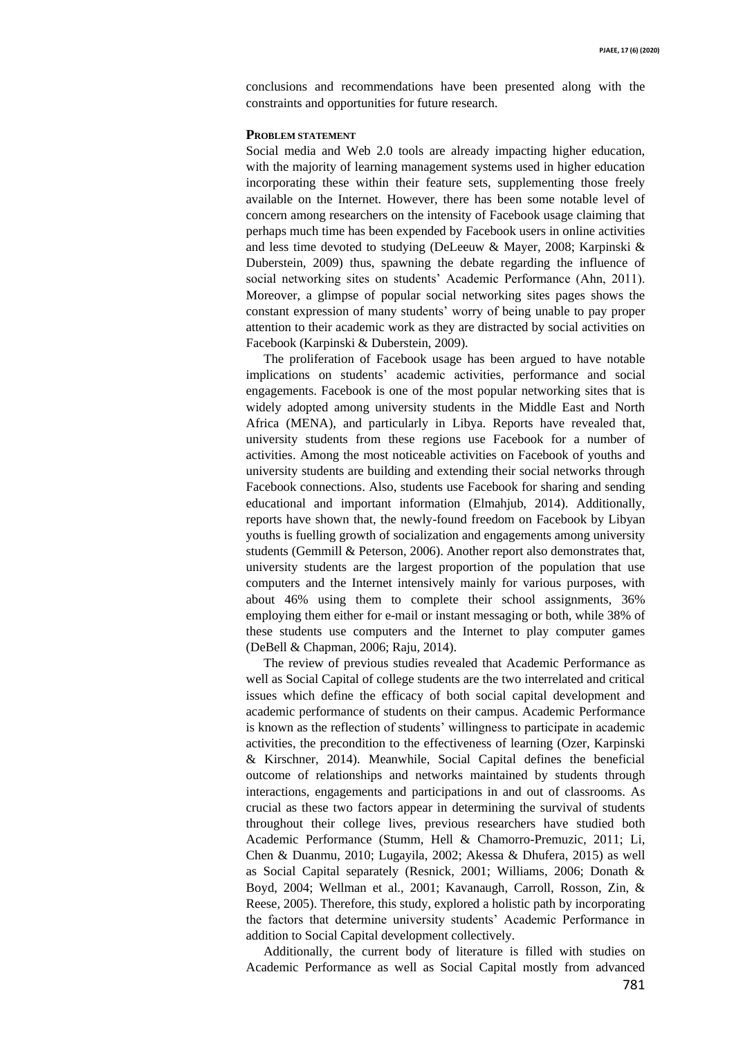conclusions and recommendations have been presented along with the constraints and opportunities for future research.

## **PROBLEM STATEMENT**

Social media and Web 2.0 tools are already impacting higher education, with the majority of learning management systems used in higher education incorporating these within their feature sets, supplementing those freely available on the Internet. However, there has been some notable level of concern among researchers on the intensity of Facebook usage claiming that perhaps much time has been expended by Facebook users in online activities and less time devoted to studying (DeLeeuw & Mayer, 2008; Karpinski & Duberstein, 2009) thus, spawning the debate regarding the influence of social networking sites on students' Academic Performance (Ahn, 2011). Moreover, a glimpse of popular social networking sites pages shows the constant expression of many students' worry of being unable to pay proper attention to their academic work as they are distracted by social activities on Facebook (Karpinski & Duberstein, 2009).

The proliferation of Facebook usage has been argued to have notable implications on students' academic activities, performance and social engagements. Facebook is one of the most popular networking sites that is widely adopted among university students in the Middle East and North Africa (MENA), and particularly in Libya. Reports have revealed that, university students from these regions use Facebook for a number of activities. Among the most noticeable activities on Facebook of youths and university students are building and extending their social networks through Facebook connections. Also, students use Facebook for sharing and sending educational and important information (Elmahjub, 2014). Additionally, reports have shown that, the newly-found freedom on Facebook by Libyan youths is fuelling growth of socialization and engagements among university students (Gemmill & Peterson, 2006). Another report also demonstrates that, university students are the largest proportion of the population that use computers and the Internet intensively mainly for various purposes, with about 46% using them to complete their school assignments, 36% employing them either for e-mail or instant messaging or both, while 38% of these students use computers and the Internet to play computer games (DeBell & Chapman, 2006; Raju, 2014).

The review of previous studies revealed that Academic Performance as well as Social Capital of college students are the two interrelated and critical issues which define the efficacy of both social capital development and academic performance of students on their campus. Academic Performance is known as the reflection of students' willingness to participate in academic activities, the precondition to the effectiveness of learning (Ozer, Karpinski & Kirschner, 2014). Meanwhile, Social Capital defines the beneficial outcome of relationships and networks maintained by students through interactions, engagements and participations in and out of classrooms. As crucial as these two factors appear in determining the survival of students throughout their college lives, previous researchers have studied both Academic Performance (Stumm, Hell & Chamorro-Premuzic, 2011; Li, Chen & Duanmu, 2010; Lugayila, 2002; Akessa & Dhufera, 2015) as well as Social Capital separately (Resnick, 2001; Williams, 2006; Donath & Boyd, 2004; Wellman et al., 2001; Kavanaugh, Carroll, Rosson, Zin, & Reese, 2005). Therefore, this study, explored a holistic path by incorporating the factors that determine university students' Academic Performance in addition to Social Capital development collectively.

Additionally, the current body of literature is filled with studies on Academic Performance as well as Social Capital mostly from advanced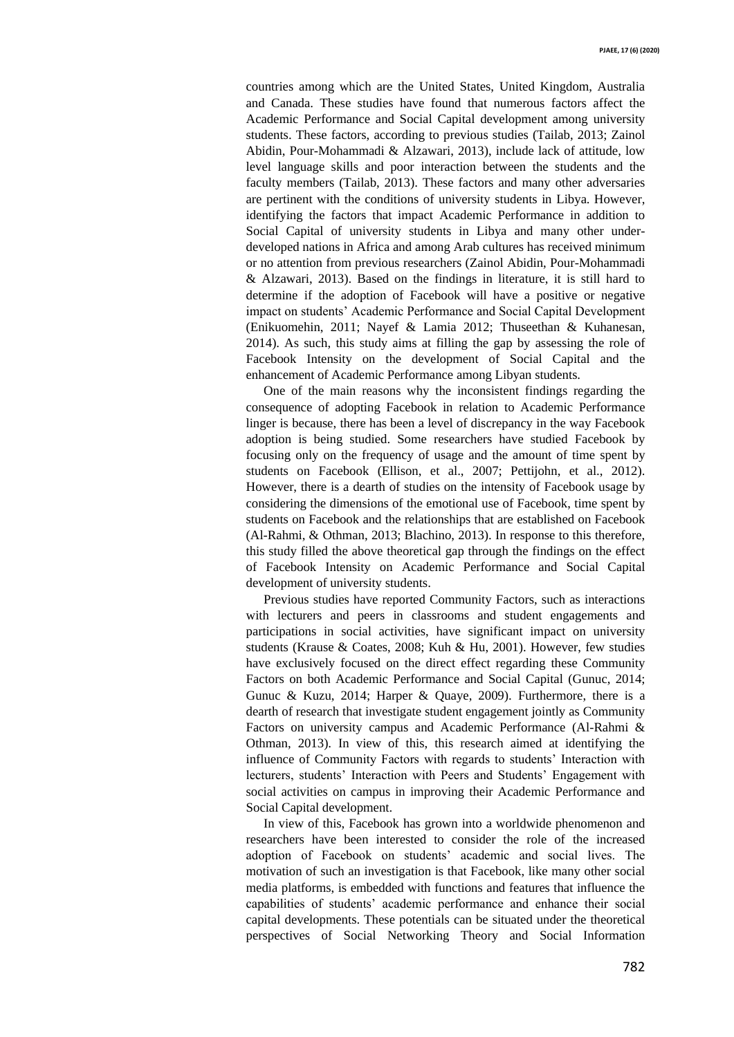countries among which are the United States, United Kingdom, Australia and Canada. These studies have found that numerous factors affect the Academic Performance and Social Capital development among university students. These factors, according to previous studies (Tailab, 2013; Zainol Abidin, Pour-Mohammadi & Alzawari, 2013), include lack of attitude, low level language skills and poor interaction between the students and the faculty members (Tailab, 2013). These factors and many other adversaries are pertinent with the conditions of university students in Libya. However, identifying the factors that impact Academic Performance in addition to Social Capital of university students in Libya and many other underdeveloped nations in Africa and among Arab cultures has received minimum or no attention from previous researchers (Zainol Abidin, Pour-Mohammadi & Alzawari, 2013). Based on the findings in literature, it is still hard to determine if the adoption of Facebook will have a positive or negative impact on students' Academic Performance and Social Capital Development (Enikuomehin, 2011; Nayef & Lamia 2012; Thuseethan & Kuhanesan, 2014). As such, this study aims at filling the gap by assessing the role of Facebook Intensity on the development of Social Capital and the enhancement of Academic Performance among Libyan students.

One of the main reasons why the inconsistent findings regarding the consequence of adopting Facebook in relation to Academic Performance linger is because, there has been a level of discrepancy in the way Facebook adoption is being studied. Some researchers have studied Facebook by focusing only on the frequency of usage and the amount of time spent by students on Facebook (Ellison, et al., 2007; Pettijohn, et al., 2012). However, there is a dearth of studies on the intensity of Facebook usage by considering the dimensions of the emotional use of Facebook, time spent by students on Facebook and the relationships that are established on Facebook (Al-Rahmi, & Othman, 2013; Blachino, 2013). In response to this therefore, this study filled the above theoretical gap through the findings on the effect of Facebook Intensity on Academic Performance and Social Capital development of university students.

Previous studies have reported Community Factors, such as interactions with lecturers and peers in classrooms and student engagements and participations in social activities, have significant impact on university students (Krause & Coates, 2008; Kuh & Hu, 2001). However, few studies have exclusively focused on the direct effect regarding these Community Factors on both Academic Performance and Social Capital (Gunuc, 2014; Gunuc & Kuzu, 2014; Harper & Quaye, 2009). Furthermore, there is a dearth of research that investigate student engagement jointly as Community Factors on university campus and Academic Performance (Al-Rahmi & Othman, 2013). In view of this, this research aimed at identifying the influence of Community Factors with regards to students' Interaction with lecturers, students' Interaction with Peers and Students' Engagement with social activities on campus in improving their Academic Performance and Social Capital development.

In view of this, Facebook has grown into a worldwide phenomenon and researchers have been interested to consider the role of the increased adoption of Facebook on students' academic and social lives. The motivation of such an investigation is that Facebook, like many other social media platforms, is embedded with functions and features that influence the capabilities of students' academic performance and enhance their social capital developments. These potentials can be situated under the theoretical perspectives of Social Networking Theory and Social Information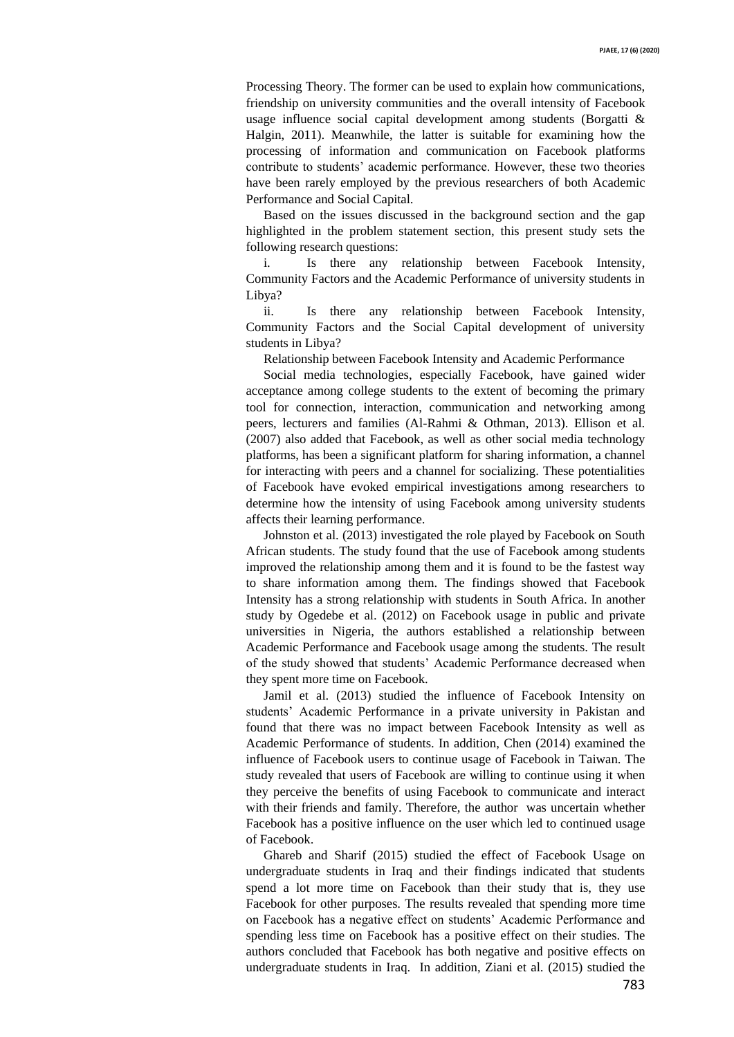Processing Theory. The former can be used to explain how communications, friendship on university communities and the overall intensity of Facebook usage influence social capital development among students (Borgatti & Halgin, 2011). Meanwhile, the latter is suitable for examining how the processing of information and communication on Facebook platforms contribute to students' academic performance. However, these two theories have been rarely employed by the previous researchers of both Academic Performance and Social Capital.

Based on the issues discussed in the background section and the gap highlighted in the problem statement section, this present study sets the following research questions:

i. Is there any relationship between Facebook Intensity, Community Factors and the Academic Performance of university students in Libya?

ii. Is there any relationship between Facebook Intensity, Community Factors and the Social Capital development of university students in Libya?

Relationship between Facebook Intensity and Academic Performance

Social media technologies, especially Facebook, have gained wider acceptance among college students to the extent of becoming the primary tool for connection, interaction, communication and networking among peers, lecturers and families (Al-Rahmi & Othman, 2013). Ellison et al. (2007) also added that Facebook, as well as other social media technology platforms, has been a significant platform for sharing information, a channel for interacting with peers and a channel for socializing. These potentialities of Facebook have evoked empirical investigations among researchers to determine how the intensity of using Facebook among university students affects their learning performance.

Johnston et al. (2013) investigated the role played by Facebook on South African students. The study found that the use of Facebook among students improved the relationship among them and it is found to be the fastest way to share information among them. The findings showed that Facebook Intensity has a strong relationship with students in South Africa. In another study by Ogedebe et al. (2012) on Facebook usage in public and private universities in Nigeria, the authors established a relationship between Academic Performance and Facebook usage among the students. The result of the study showed that students' Academic Performance decreased when they spent more time on Facebook.

Jamil et al. (2013) studied the influence of Facebook Intensity on students' Academic Performance in a private university in Pakistan and found that there was no impact between Facebook Intensity as well as Academic Performance of students. In addition, Chen (2014) examined the influence of Facebook users to continue usage of Facebook in Taiwan. The study revealed that users of Facebook are willing to continue using it when they perceive the benefits of using Facebook to communicate and interact with their friends and family. Therefore, the author was uncertain whether Facebook has a positive influence on the user which led to continued usage of Facebook.

Ghareb and Sharif (2015) studied the effect of Facebook Usage on undergraduate students in Iraq and their findings indicated that students spend a lot more time on Facebook than their study that is, they use Facebook for other purposes. The results revealed that spending more time on Facebook has a negative effect on students' Academic Performance and spending less time on Facebook has a positive effect on their studies. The authors concluded that Facebook has both negative and positive effects on undergraduate students in Iraq. In addition, Ziani et al. (2015) studied the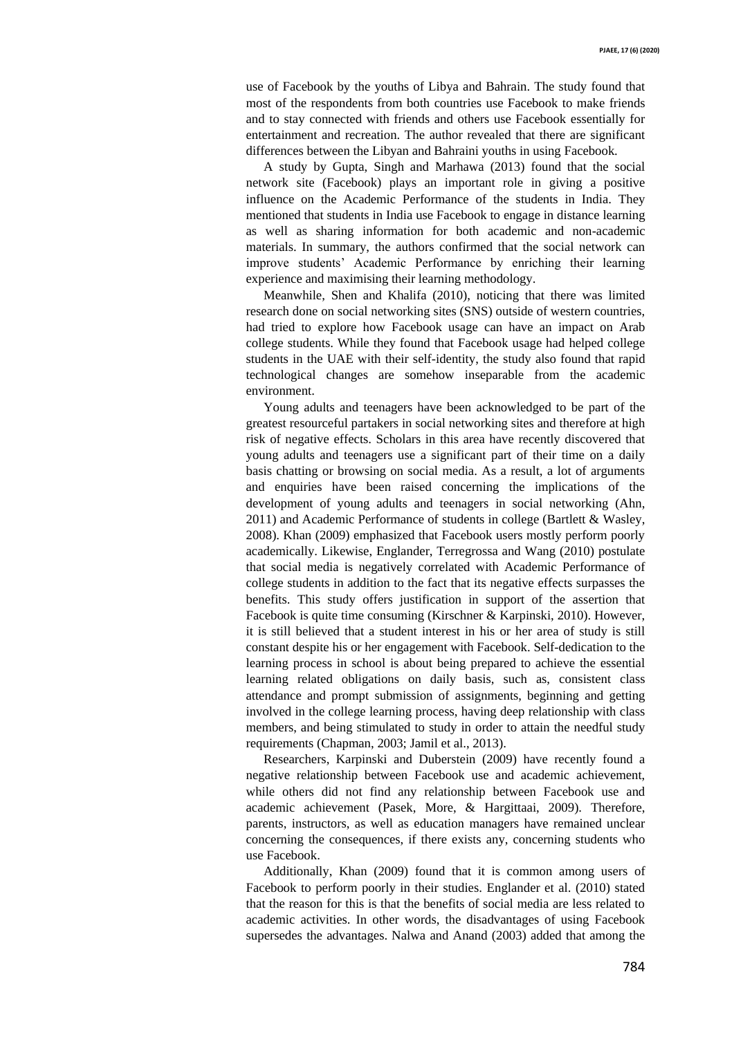use of Facebook by the youths of Libya and Bahrain. The study found that most of the respondents from both countries use Facebook to make friends and to stay connected with friends and others use Facebook essentially for entertainment and recreation. The author revealed that there are significant differences between the Libyan and Bahraini youths in using Facebook.

A study by Gupta, Singh and Marhawa (2013) found that the social network site (Facebook) plays an important role in giving a positive influence on the Academic Performance of the students in India. They mentioned that students in India use Facebook to engage in distance learning as well as sharing information for both academic and non-academic materials. In summary, the authors confirmed that the social network can improve students' Academic Performance by enriching their learning experience and maximising their learning methodology.

Meanwhile, Shen and Khalifa (2010), noticing that there was limited research done on social networking sites (SNS) outside of western countries, had tried to explore how Facebook usage can have an impact on Arab college students. While they found that Facebook usage had helped college students in the UAE with their self-identity, the study also found that rapid technological changes are somehow inseparable from the academic environment.

Young adults and teenagers have been acknowledged to be part of the greatest resourceful partakers in social networking sites and therefore at high risk of negative effects. Scholars in this area have recently discovered that young adults and teenagers use a significant part of their time on a daily basis chatting or browsing on social media. As a result, a lot of arguments and enquiries have been raised concerning the implications of the development of young adults and teenagers in social networking (Ahn, 2011) and Academic Performance of students in college (Bartlett & Wasley, 2008). Khan (2009) emphasized that Facebook users mostly perform poorly academically. Likewise, Englander, Terregrossa and Wang (2010) postulate that social media is negatively correlated with Academic Performance of college students in addition to the fact that its negative effects surpasses the benefits. This study offers justification in support of the assertion that Facebook is quite time consuming (Kirschner & Karpinski, 2010). However, it is still believed that a student interest in his or her area of study is still constant despite his or her engagement with Facebook. Self-dedication to the learning process in school is about being prepared to achieve the essential learning related obligations on daily basis, such as, consistent class attendance and prompt submission of assignments, beginning and getting involved in the college learning process, having deep relationship with class members, and being stimulated to study in order to attain the needful study requirements (Chapman, 2003; Jamil et al., 2013).

Researchers, Karpinski and Duberstein (2009) have recently found a negative relationship between Facebook use and academic achievement, while others did not find any relationship between Facebook use and academic achievement (Pasek, More, & Hargittaai, 2009). Therefore, parents, instructors, as well as education managers have remained unclear concerning the consequences, if there exists any, concerning students who use Facebook.

Additionally, Khan (2009) found that it is common among users of Facebook to perform poorly in their studies. Englander et al. (2010) stated that the reason for this is that the benefits of social media are less related to academic activities. In other words, the disadvantages of using Facebook supersedes the advantages. Nalwa and Anand (2003) added that among the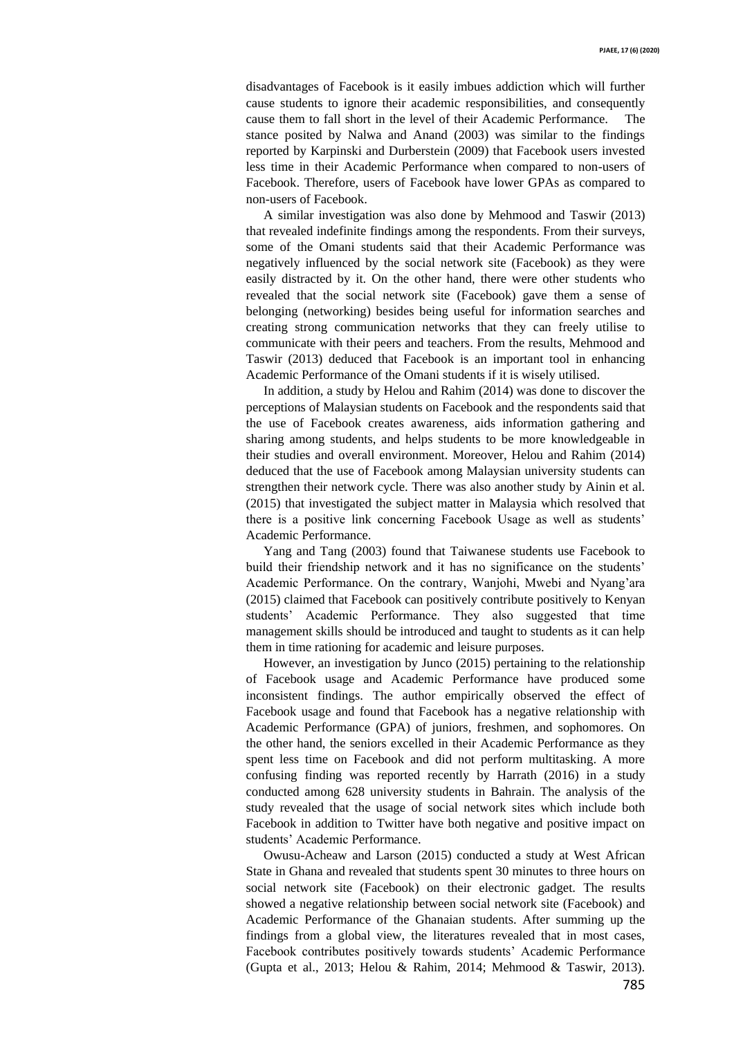disadvantages of Facebook is it easily imbues addiction which will further cause students to ignore their academic responsibilities, and consequently cause them to fall short in the level of their Academic Performance. The stance posited by Nalwa and Anand (2003) was similar to the findings reported by Karpinski and Durberstein (2009) that Facebook users invested less time in their Academic Performance when compared to non-users of Facebook. Therefore, users of Facebook have lower GPAs as compared to non-users of Facebook.

A similar investigation was also done by Mehmood and Taswir (2013) that revealed indefinite findings among the respondents. From their surveys, some of the Omani students said that their Academic Performance was negatively influenced by the social network site (Facebook) as they were easily distracted by it. On the other hand, there were other students who revealed that the social network site (Facebook) gave them a sense of belonging (networking) besides being useful for information searches and creating strong communication networks that they can freely utilise to communicate with their peers and teachers. From the results, Mehmood and Taswir (2013) deduced that Facebook is an important tool in enhancing Academic Performance of the Omani students if it is wisely utilised.

In addition, a study by Helou and Rahim (2014) was done to discover the perceptions of Malaysian students on Facebook and the respondents said that the use of Facebook creates awareness, aids information gathering and sharing among students, and helps students to be more knowledgeable in their studies and overall environment. Moreover, Helou and Rahim (2014) deduced that the use of Facebook among Malaysian university students can strengthen their network cycle. There was also another study by Ainin et al. (2015) that investigated the subject matter in Malaysia which resolved that there is a positive link concerning Facebook Usage as well as students' Academic Performance.

Yang and Tang (2003) found that Taiwanese students use Facebook to build their friendship network and it has no significance on the students' Academic Performance. On the contrary, Wanjohi, Mwebi and Nyang'ara (2015) claimed that Facebook can positively contribute positively to Kenyan students' Academic Performance. They also suggested that time management skills should be introduced and taught to students as it can help them in time rationing for academic and leisure purposes.

However, an investigation by Junco (2015) pertaining to the relationship of Facebook usage and Academic Performance have produced some inconsistent findings. The author empirically observed the effect of Facebook usage and found that Facebook has a negative relationship with Academic Performance (GPA) of juniors, freshmen, and sophomores. On the other hand, the seniors excelled in their Academic Performance as they spent less time on Facebook and did not perform multitasking. A more confusing finding was reported recently by Harrath (2016) in a study conducted among 628 university students in Bahrain. The analysis of the study revealed that the usage of social network sites which include both Facebook in addition to Twitter have both negative and positive impact on students' Academic Performance.

Owusu-Acheaw and Larson (2015) conducted a study at West African State in Ghana and revealed that students spent 30 minutes to three hours on social network site (Facebook) on their electronic gadget. The results showed a negative relationship between social network site (Facebook) and Academic Performance of the Ghanaian students. After summing up the findings from a global view, the literatures revealed that in most cases, Facebook contributes positively towards students' Academic Performance (Gupta et al., 2013; Helou & Rahim, 2014; Mehmood & Taswir, 2013).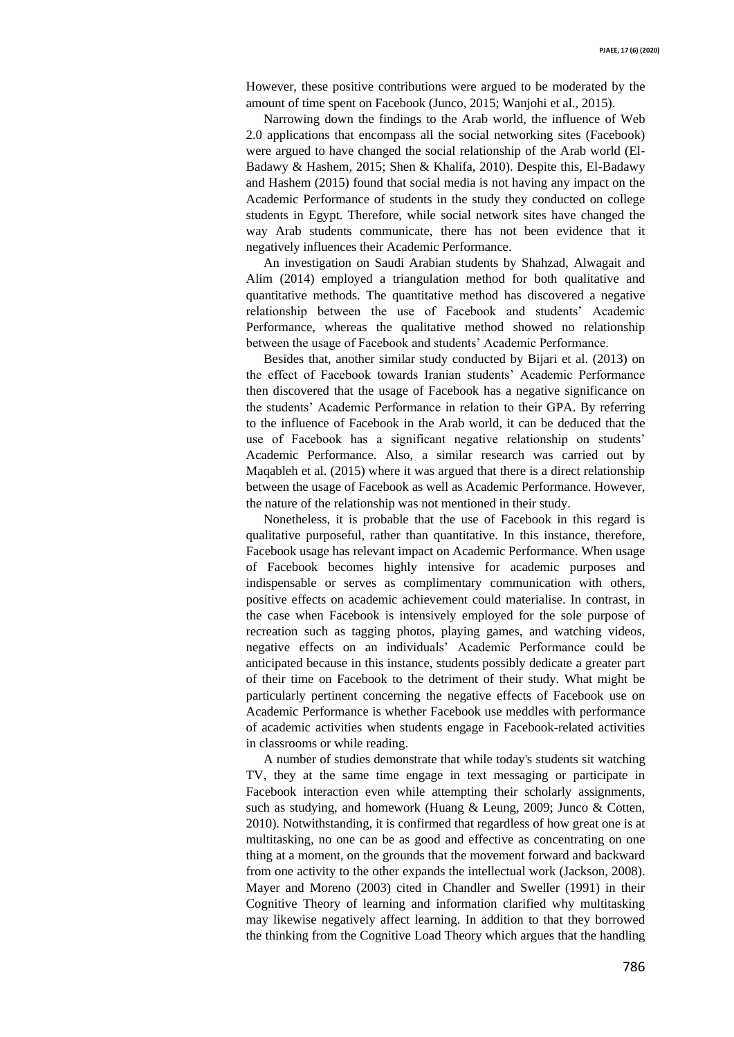However, these positive contributions were argued to be moderated by the amount of time spent on Facebook (Junco, 2015; Wanjohi et al., 2015).

Narrowing down the findings to the Arab world, the influence of Web 2.0 applications that encompass all the social networking sites (Facebook) were argued to have changed the social relationship of the Arab world (El-Badawy & Hashem, 2015; Shen & Khalifa, 2010). Despite this, El-Badawy and Hashem (2015) found that social media is not having any impact on the Academic Performance of students in the study they conducted on college students in Egypt. Therefore, while social network sites have changed the way Arab students communicate, there has not been evidence that it negatively influences their Academic Performance.

An investigation on Saudi Arabian students by Shahzad, Alwagait and Alim (2014) employed a triangulation method for both qualitative and quantitative methods. The quantitative method has discovered a negative relationship between the use of Facebook and students' Academic Performance, whereas the qualitative method showed no relationship between the usage of Facebook and students' Academic Performance.

Besides that, another similar study conducted by Bijari et al. (2013) on the effect of Facebook towards Iranian students' Academic Performance then discovered that the usage of Facebook has a negative significance on the students' Academic Performance in relation to their GPA. By referring to the influence of Facebook in the Arab world, it can be deduced that the use of Facebook has a significant negative relationship on students' Academic Performance. Also, a similar research was carried out by Maqableh et al. (2015) where it was argued that there is a direct relationship between the usage of Facebook as well as Academic Performance. However, the nature of the relationship was not mentioned in their study.

Nonetheless, it is probable that the use of Facebook in this regard is qualitative purposeful, rather than quantitative. In this instance, therefore, Facebook usage has relevant impact on Academic Performance. When usage of Facebook becomes highly intensive for academic purposes and indispensable or serves as complimentary communication with others, positive effects on academic achievement could materialise. In contrast, in the case when Facebook is intensively employed for the sole purpose of recreation such as tagging photos, playing games, and watching videos, negative effects on an individuals' Academic Performance could be anticipated because in this instance, students possibly dedicate a greater part of their time on Facebook to the detriment of their study. What might be particularly pertinent concerning the negative effects of Facebook use on Academic Performance is whether Facebook use meddles with performance of academic activities when students engage in Facebook-related activities in classrooms or while reading.

A number of studies demonstrate that while today's students sit watching TV, they at the same time engage in text messaging or participate in Facebook interaction even while attempting their scholarly assignments, such as studying, and homework (Huang & Leung, 2009; Junco & Cotten, 2010). Notwithstanding, it is confirmed that regardless of how great one is at multitasking, no one can be as good and effective as concentrating on one thing at a moment, on the grounds that the movement forward and backward from one activity to the other expands the intellectual work (Jackson, 2008). Mayer and Moreno (2003) cited in Chandler and Sweller (1991) in their Cognitive Theory of learning and information clarified why multitasking may likewise negatively affect learning. In addition to that they borrowed the thinking from the Cognitive Load Theory which argues that the handling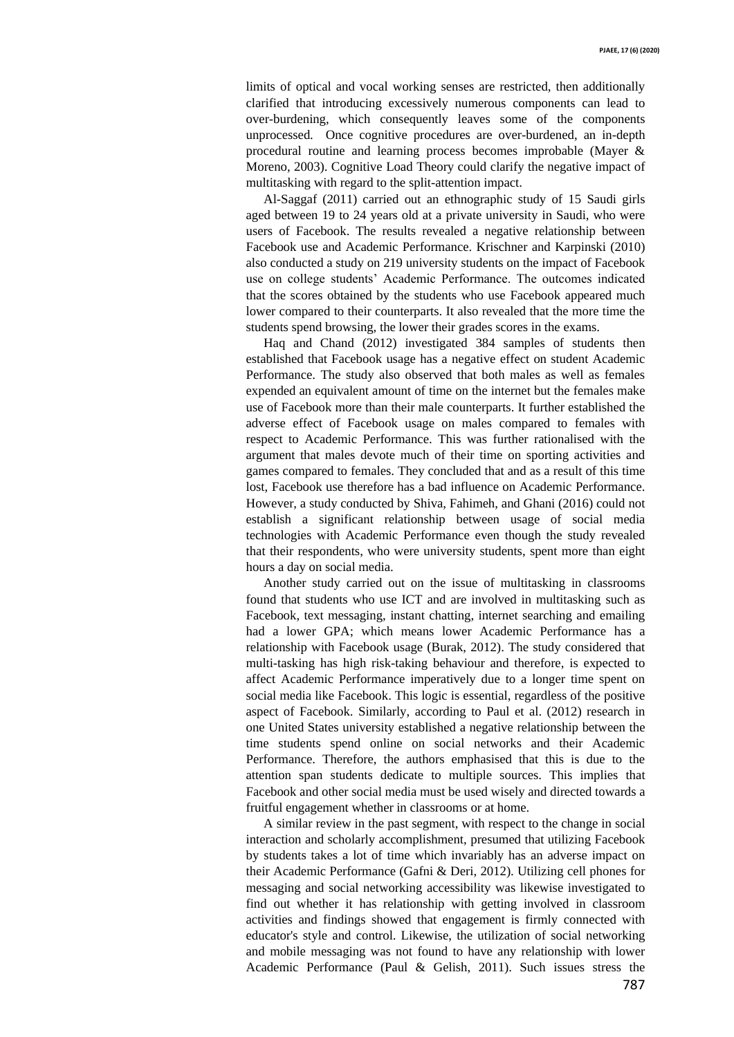limits of optical and vocal working senses are restricted, then additionally clarified that introducing excessively numerous components can lead to over-burdening, which consequently leaves some of the components unprocessed. Once cognitive procedures are over-burdened, an in-depth procedural routine and learning process becomes improbable (Mayer & Moreno, 2003). Cognitive Load Theory could clarify the negative impact of multitasking with regard to the split-attention impact.

Al-Saggaf (2011) carried out an ethnographic study of 15 Saudi girls aged between 19 to 24 years old at a private university in Saudi, who were users of Facebook. The results revealed a negative relationship between Facebook use and Academic Performance. Krischner and Karpinski (2010) also conducted a study on 219 university students on the impact of Facebook use on college students' Academic Performance. The outcomes indicated that the scores obtained by the students who use Facebook appeared much lower compared to their counterparts. It also revealed that the more time the students spend browsing, the lower their grades scores in the exams.

Haq and Chand (2012) investigated 384 samples of students then established that Facebook usage has a negative effect on student Academic Performance. The study also observed that both males as well as females expended an equivalent amount of time on the internet but the females make use of Facebook more than their male counterparts. It further established the adverse effect of Facebook usage on males compared to females with respect to Academic Performance. This was further rationalised with the argument that males devote much of their time on sporting activities and games compared to females. They concluded that and as a result of this time lost, Facebook use therefore has a bad influence on Academic Performance. However, a study conducted by Shiva, Fahimeh, and Ghani (2016) could not establish a significant relationship between usage of social media technologies with Academic Performance even though the study revealed that their respondents, who were university students, spent more than eight hours a day on social media.

Another study carried out on the issue of multitasking in classrooms found that students who use ICT and are involved in multitasking such as Facebook, text messaging, instant chatting, internet searching and emailing had a lower GPA; which means lower Academic Performance has a relationship with Facebook usage (Burak, 2012). The study considered that multi-tasking has high risk-taking behaviour and therefore, is expected to affect Academic Performance imperatively due to a longer time spent on social media like Facebook. This logic is essential, regardless of the positive aspect of Facebook. Similarly, according to Paul et al. (2012) research in one United States university established a negative relationship between the time students spend online on social networks and their Academic Performance. Therefore, the authors emphasised that this is due to the attention span students dedicate to multiple sources. This implies that Facebook and other social media must be used wisely and directed towards a fruitful engagement whether in classrooms or at home.

A similar review in the past segment, with respect to the change in social interaction and scholarly accomplishment, presumed that utilizing Facebook by students takes a lot of time which invariably has an adverse impact on their Academic Performance (Gafni & Deri, 2012). Utilizing cell phones for messaging and social networking accessibility was likewise investigated to find out whether it has relationship with getting involved in classroom activities and findings showed that engagement is firmly connected with educator's style and control. Likewise, the utilization of social networking and mobile messaging was not found to have any relationship with lower Academic Performance (Paul & Gelish, 2011). Such issues stress the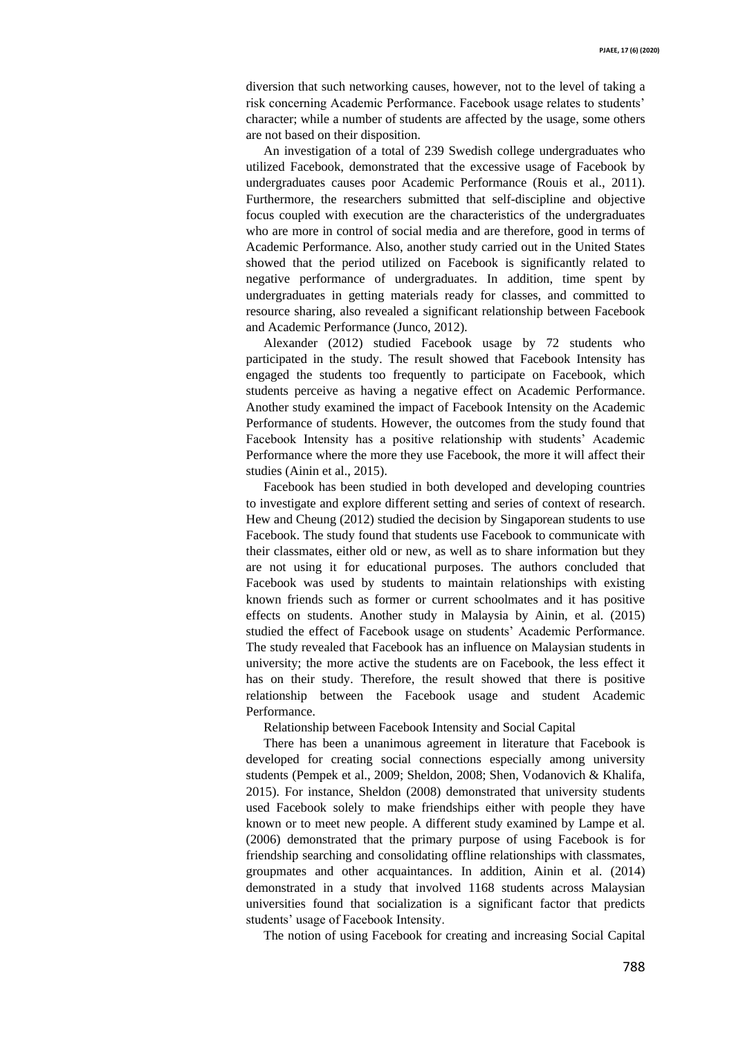diversion that such networking causes, however, not to the level of taking a risk concerning Academic Performance. Facebook usage relates to students' character; while a number of students are affected by the usage, some others are not based on their disposition.

An investigation of a total of 239 Swedish college undergraduates who utilized Facebook, demonstrated that the excessive usage of Facebook by undergraduates causes poor Academic Performance (Rouis et al., 2011). Furthermore, the researchers submitted that self-discipline and objective focus coupled with execution are the characteristics of the undergraduates who are more in control of social media and are therefore, good in terms of Academic Performance. Also, another study carried out in the United States showed that the period utilized on Facebook is significantly related to negative performance of undergraduates. In addition, time spent by undergraduates in getting materials ready for classes, and committed to resource sharing, also revealed a significant relationship between Facebook and Academic Performance (Junco, 2012).

Alexander (2012) studied Facebook usage by 72 students who participated in the study. The result showed that Facebook Intensity has engaged the students too frequently to participate on Facebook, which students perceive as having a negative effect on Academic Performance. Another study examined the impact of Facebook Intensity on the Academic Performance of students. However, the outcomes from the study found that Facebook Intensity has a positive relationship with students' Academic Performance where the more they use Facebook, the more it will affect their studies (Ainin et al., 2015).

Facebook has been studied in both developed and developing countries to investigate and explore different setting and series of context of research. Hew and Cheung (2012) studied the decision by Singaporean students to use Facebook. The study found that students use Facebook to communicate with their classmates, either old or new, as well as to share information but they are not using it for educational purposes. The authors concluded that Facebook was used by students to maintain relationships with existing known friends such as former or current schoolmates and it has positive effects on students. Another study in Malaysia by Ainin, et al. (2015) studied the effect of Facebook usage on students' Academic Performance. The study revealed that Facebook has an influence on Malaysian students in university; the more active the students are on Facebook, the less effect it has on their study. Therefore, the result showed that there is positive relationship between the Facebook usage and student Academic Performance.

Relationship between Facebook Intensity and Social Capital

There has been a unanimous agreement in literature that Facebook is developed for creating social connections especially among university students (Pempek et al., 2009; Sheldon, 2008; Shen, Vodanovich & Khalifa, 2015). For instance, Sheldon (2008) demonstrated that university students used Facebook solely to make friendships either with people they have known or to meet new people. A different study examined by Lampe et al. (2006) demonstrated that the primary purpose of using Facebook is for friendship searching and consolidating offline relationships with classmates, groupmates and other acquaintances. In addition, Ainin et al. (2014) demonstrated in a study that involved 1168 students across Malaysian universities found that socialization is a significant factor that predicts students' usage of Facebook Intensity.

The notion of using Facebook for creating and increasing Social Capital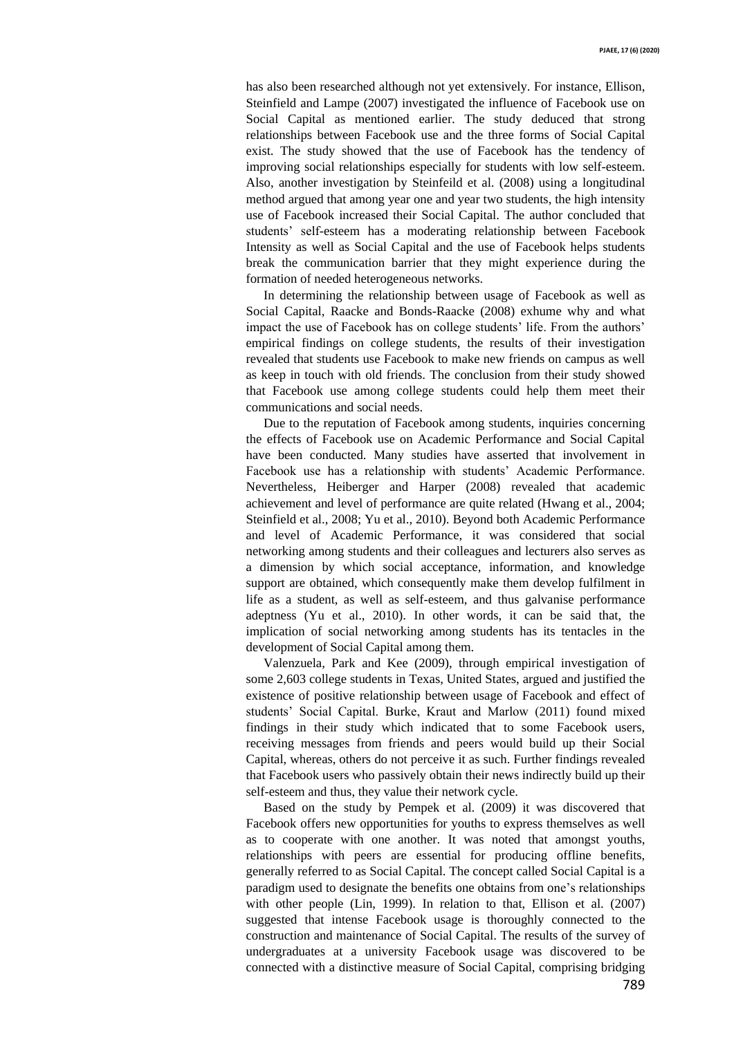has also been researched although not yet extensively. For instance, Ellison, Steinfield and Lampe (2007) investigated the influence of Facebook use on Social Capital as mentioned earlier. The study deduced that strong relationships between Facebook use and the three forms of Social Capital exist. The study showed that the use of Facebook has the tendency of improving social relationships especially for students with low self-esteem. Also, another investigation by Steinfeild et al. (2008) using a longitudinal method argued that among year one and year two students, the high intensity use of Facebook increased their Social Capital. The author concluded that students' self-esteem has a moderating relationship between Facebook Intensity as well as Social Capital and the use of Facebook helps students break the communication barrier that they might experience during the formation of needed heterogeneous networks.

In determining the relationship between usage of Facebook as well as Social Capital, Raacke and Bonds-Raacke (2008) exhume why and what impact the use of Facebook has on college students' life. From the authors' empirical findings on college students, the results of their investigation revealed that students use Facebook to make new friends on campus as well as keep in touch with old friends. The conclusion from their study showed that Facebook use among college students could help them meet their communications and social needs.

Due to the reputation of Facebook among students, inquiries concerning the effects of Facebook use on Academic Performance and Social Capital have been conducted. Many studies have asserted that involvement in Facebook use has a relationship with students' Academic Performance. Nevertheless, Heiberger and Harper (2008) revealed that academic achievement and level of performance are quite related (Hwang et al., 2004; Steinfield et al., 2008; Yu et al., 2010). Beyond both Academic Performance and level of Academic Performance, it was considered that social networking among students and their colleagues and lecturers also serves as a dimension by which social acceptance, information, and knowledge support are obtained, which consequently make them develop fulfilment in life as a student, as well as self-esteem, and thus galvanise performance adeptness (Yu et al., 2010). In other words, it can be said that, the implication of social networking among students has its tentacles in the development of Social Capital among them.

Valenzuela, Park and Kee (2009), through empirical investigation of some 2,603 college students in Texas, United States, argued and justified the existence of positive relationship between usage of Facebook and effect of students' Social Capital. Burke, Kraut and Marlow (2011) found mixed findings in their study which indicated that to some Facebook users, receiving messages from friends and peers would build up their Social Capital, whereas, others do not perceive it as such. Further findings revealed that Facebook users who passively obtain their news indirectly build up their self-esteem and thus, they value their network cycle.

Based on the study by Pempek et al. (2009) it was discovered that Facebook offers new opportunities for youths to express themselves as well as to cooperate with one another. It was noted that amongst youths, relationships with peers are essential for producing offline benefits, generally referred to as Social Capital. The concept called Social Capital is a paradigm used to designate the benefits one obtains from one's relationships with other people (Lin, 1999). In relation to that, Ellison et al. (2007) suggested that intense Facebook usage is thoroughly connected to the construction and maintenance of Social Capital. The results of the survey of undergraduates at a university Facebook usage was discovered to be connected with a distinctive measure of Social Capital, comprising bridging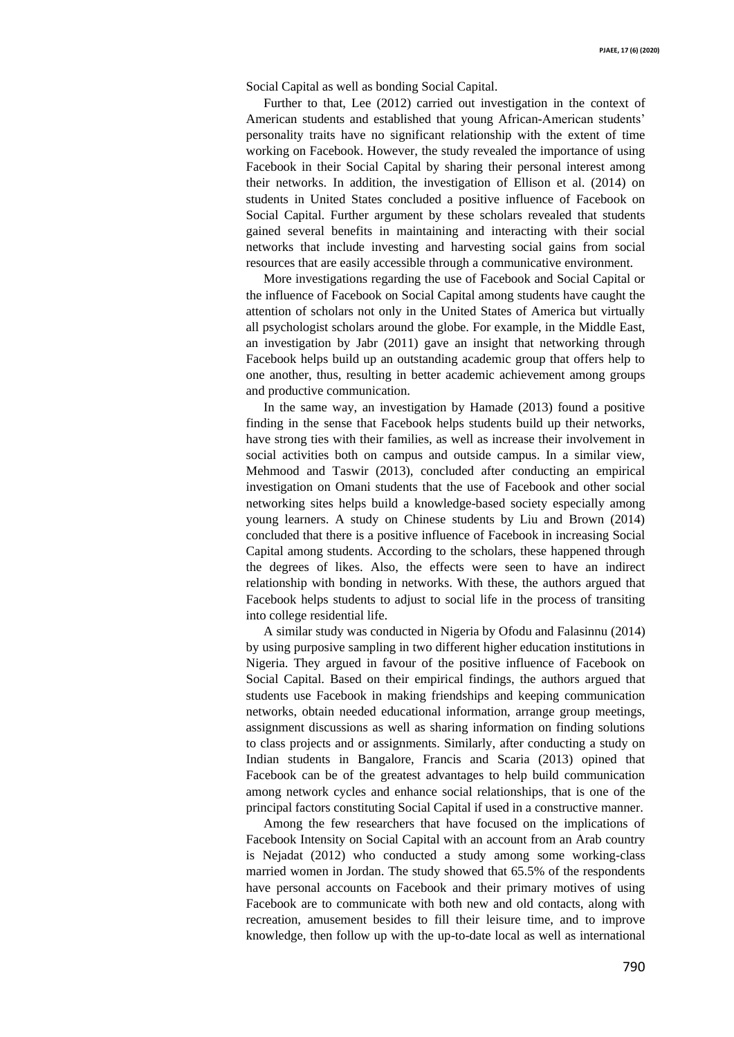Social Capital as well as bonding Social Capital.

Further to that, Lee (2012) carried out investigation in the context of American students and established that young African-American students' personality traits have no significant relationship with the extent of time working on Facebook. However, the study revealed the importance of using Facebook in their Social Capital by sharing their personal interest among their networks. In addition, the investigation of Ellison et al. (2014) on students in United States concluded a positive influence of Facebook on Social Capital. Further argument by these scholars revealed that students gained several benefits in maintaining and interacting with their social networks that include investing and harvesting social gains from social resources that are easily accessible through a communicative environment.

More investigations regarding the use of Facebook and Social Capital or the influence of Facebook on Social Capital among students have caught the attention of scholars not only in the United States of America but virtually all psychologist scholars around the globe. For example, in the Middle East, an investigation by Jabr (2011) gave an insight that networking through Facebook helps build up an outstanding academic group that offers help to one another, thus, resulting in better academic achievement among groups and productive communication.

In the same way, an investigation by Hamade (2013) found a positive finding in the sense that Facebook helps students build up their networks, have strong ties with their families, as well as increase their involvement in social activities both on campus and outside campus. In a similar view, Mehmood and Taswir (2013), concluded after conducting an empirical investigation on Omani students that the use of Facebook and other social networking sites helps build a knowledge-based society especially among young learners. A study on Chinese students by Liu and Brown (2014) concluded that there is a positive influence of Facebook in increasing Social Capital among students. According to the scholars, these happened through the degrees of likes. Also, the effects were seen to have an indirect relationship with bonding in networks. With these, the authors argued that Facebook helps students to adjust to social life in the process of transiting into college residential life.

A similar study was conducted in Nigeria by Ofodu and Falasinnu (2014) by using purposive sampling in two different higher education institutions in Nigeria. They argued in favour of the positive influence of Facebook on Social Capital. Based on their empirical findings, the authors argued that students use Facebook in making friendships and keeping communication networks, obtain needed educational information, arrange group meetings, assignment discussions as well as sharing information on finding solutions to class projects and or assignments. Similarly, after conducting a study on Indian students in Bangalore, Francis and Scaria (2013) opined that Facebook can be of the greatest advantages to help build communication among network cycles and enhance social relationships, that is one of the principal factors constituting Social Capital if used in a constructive manner.

Among the few researchers that have focused on the implications of Facebook Intensity on Social Capital with an account from an Arab country is Nejadat (2012) who conducted a study among some working-class married women in Jordan. The study showed that 65.5% of the respondents have personal accounts on Facebook and their primary motives of using Facebook are to communicate with both new and old contacts, along with recreation, amusement besides to fill their leisure time, and to improve knowledge, then follow up with the up-to-date local as well as international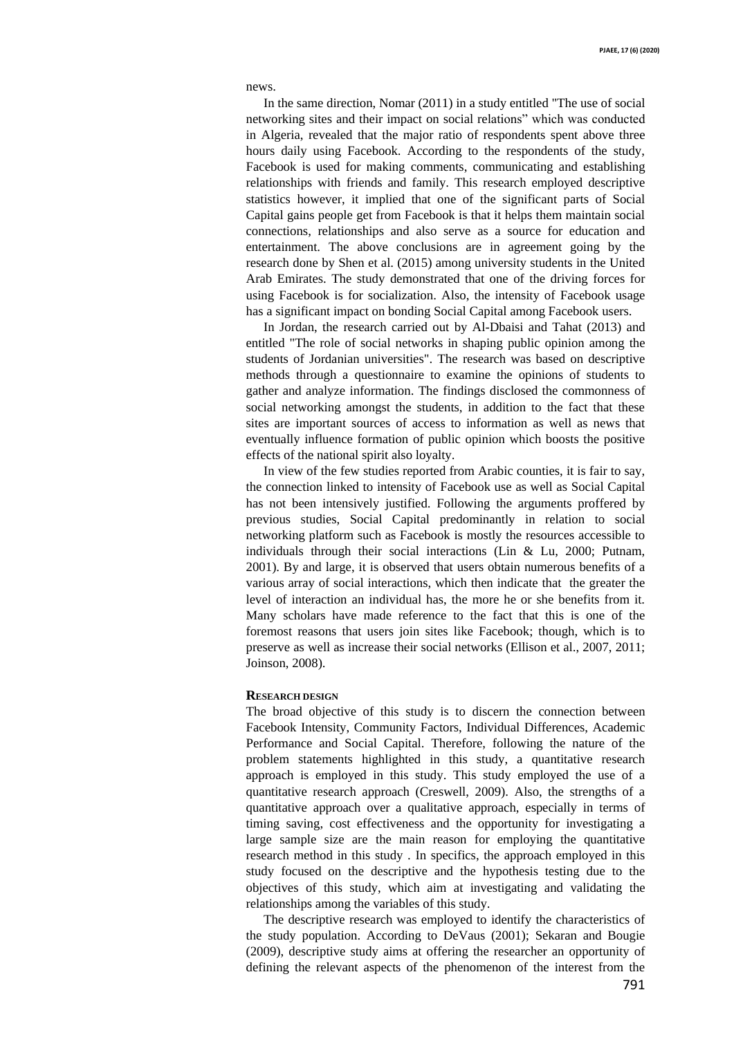news.

In the same direction, Nomar (2011) in a study entitled "The use of social networking sites and their impact on social relations" which was conducted in Algeria, revealed that the major ratio of respondents spent above three hours daily using Facebook. According to the respondents of the study, Facebook is used for making comments, communicating and establishing relationships with friends and family. This research employed descriptive statistics however, it implied that one of the significant parts of Social Capital gains people get from Facebook is that it helps them maintain social connections, relationships and also serve as a source for education and entertainment. The above conclusions are in agreement going by the research done by Shen et al. (2015) among university students in the United Arab Emirates. The study demonstrated that one of the driving forces for using Facebook is for socialization. Also, the intensity of Facebook usage has a significant impact on bonding Social Capital among Facebook users.

In Jordan, the research carried out by Al-Dbaisi and Tahat (2013) and entitled "The role of social networks in shaping public opinion among the students of Jordanian universities". The research was based on descriptive methods through a questionnaire to examine the opinions of students to gather and analyze information. The findings disclosed the commonness of social networking amongst the students, in addition to the fact that these sites are important sources of access to information as well as news that eventually influence formation of public opinion which boosts the positive effects of the national spirit also loyalty.

In view of the few studies reported from Arabic counties, it is fair to say, the connection linked to intensity of Facebook use as well as Social Capital has not been intensively justified. Following the arguments proffered by previous studies, Social Capital predominantly in relation to social networking platform such as Facebook is mostly the resources accessible to individuals through their social interactions (Lin & Lu, 2000; Putnam, 2001). By and large, it is observed that users obtain numerous benefits of a various array of social interactions, which then indicate that the greater the level of interaction an individual has, the more he or she benefits from it. Many scholars have made reference to the fact that this is one of the foremost reasons that users join sites like Facebook; though, which is to preserve as well as increase their social networks (Ellison et al., 2007, 2011; Joinson, 2008).

## **RESEARCH DESIGN**

The broad objective of this study is to discern the connection between Facebook Intensity, Community Factors, Individual Differences, Academic Performance and Social Capital. Therefore, following the nature of the problem statements highlighted in this study, a quantitative research approach is employed in this study. This study employed the use of a quantitative research approach (Creswell, 2009). Also, the strengths of a quantitative approach over a qualitative approach, especially in terms of timing saving, cost effectiveness and the opportunity for investigating a large sample size are the main reason for employing the quantitative research method in this study . In specifics, the approach employed in this study focused on the descriptive and the hypothesis testing due to the objectives of this study, which aim at investigating and validating the relationships among the variables of this study.

The descriptive research was employed to identify the characteristics of the study population. According to DeVaus (2001); Sekaran and Bougie (2009), descriptive study aims at offering the researcher an opportunity of defining the relevant aspects of the phenomenon of the interest from the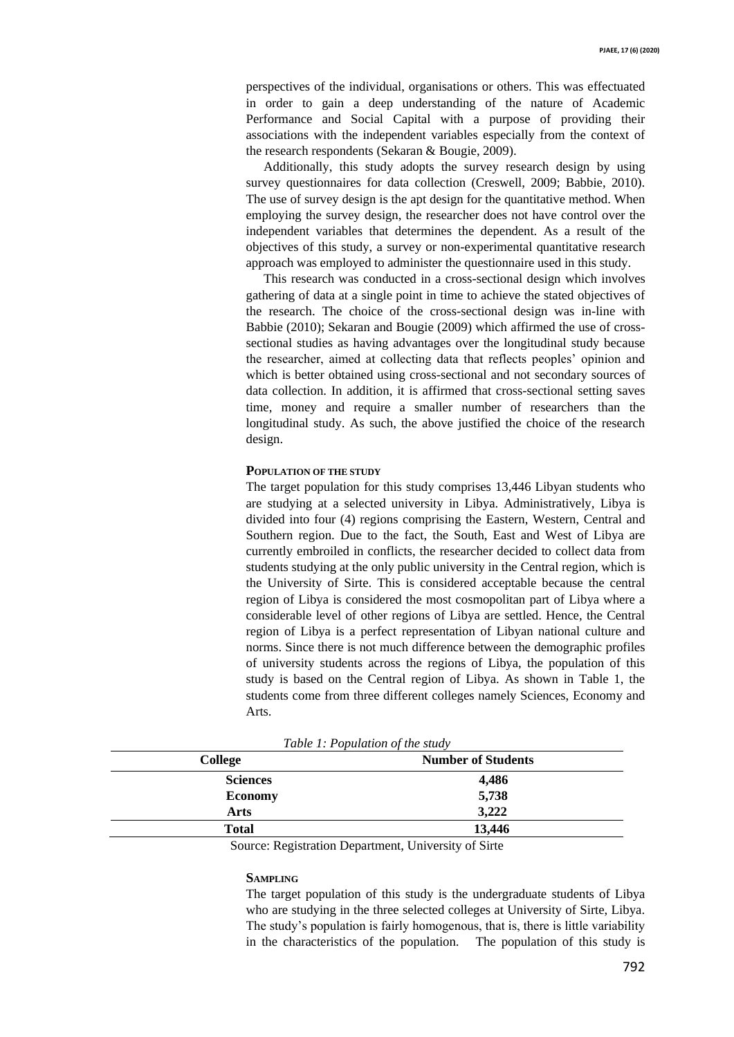perspectives of the individual, organisations or others. This was effectuated in order to gain a deep understanding of the nature of Academic Performance and Social Capital with a purpose of providing their associations with the independent variables especially from the context of the research respondents (Sekaran & Bougie, 2009).

Additionally, this study adopts the survey research design by using survey questionnaires for data collection (Creswell, 2009; Babbie, 2010). The use of survey design is the apt design for the quantitative method. When employing the survey design, the researcher does not have control over the independent variables that determines the dependent. As a result of the objectives of this study, a survey or non-experimental quantitative research approach was employed to administer the questionnaire used in this study.

This research was conducted in a cross-sectional design which involves gathering of data at a single point in time to achieve the stated objectives of the research. The choice of the cross-sectional design was in-line with Babbie (2010); Sekaran and Bougie (2009) which affirmed the use of crosssectional studies as having advantages over the longitudinal study because the researcher, aimed at collecting data that reflects peoples' opinion and which is better obtained using cross-sectional and not secondary sources of data collection. In addition, it is affirmed that cross-sectional setting saves time, money and require a smaller number of researchers than the longitudinal study. As such, the above justified the choice of the research design.

## **POPULATION OF THE STUDY**

The target population for this study comprises 13,446 Libyan students who are studying at a selected university in Libya. Administratively, Libya is divided into four (4) regions comprising the Eastern, Western, Central and Southern region. Due to the fact, the South, East and West of Libya are currently embroiled in conflicts, the researcher decided to collect data from students studying at the only public university in the Central region, which is the University of Sirte. This is considered acceptable because the central region of Libya is considered the most cosmopolitan part of Libya where a considerable level of other regions of Libya are settled. Hence, the Central region of Libya is a perfect representation of Libyan national culture and norms. Since there is not much difference between the demographic profiles of university students across the regions of Libya, the population of this study is based on the Central region of Libya. As shown in Table 1, the students come from three different colleges namely Sciences, Economy and Arts.

| <b>College</b>  | <b>Number of Students</b> |  |
|-----------------|---------------------------|--|
| <b>Sciences</b> | 4,486                     |  |
| <b>Economy</b>  | 5,738                     |  |
| Arts            | 3,222                     |  |
| <b>Total</b>    | 13,446                    |  |

*Table 1: Population of the study*

Source: Registration Department, University of Sirte

## **SAMPLING**

The target population of this study is the undergraduate students of Libya who are studying in the three selected colleges at University of Sirte, Libya. The study's population is fairly homogenous, that is, there is little variability in the characteristics of the population. The population of this study is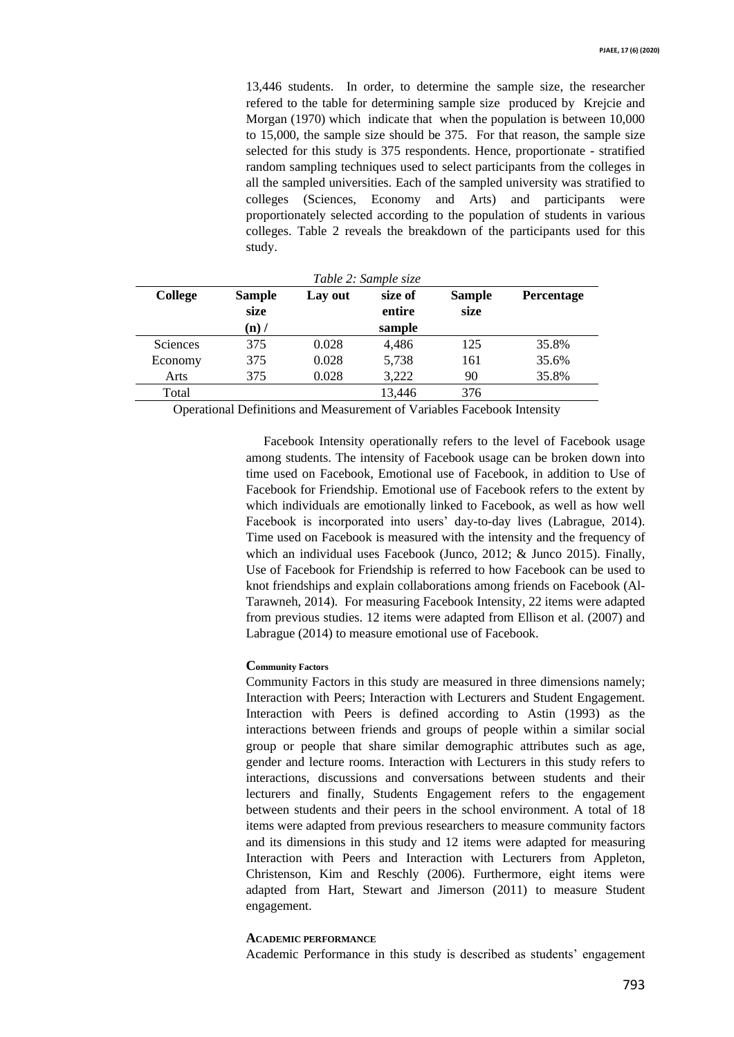13,446 students. In order, to determine the sample size, the researcher refered to the table for determining sample size produced by Krejcie and Morgan (1970) which indicate that when the population is between 10,000 to 15,000, the sample size should be 375. For that reason, the sample size selected for this study is 375 respondents. Hence, proportionate - stratified random sampling techniques used to select participants from the colleges in all the sampled universities. Each of the sampled university was stratified to colleges (Sciences, Economy and Arts) and participants were proportionately selected according to the population of students in various colleges. Table 2 reveals the breakdown of the participants used for this study.

| Table 2: Sample size |                                  |         |                             |                       |                   |
|----------------------|----------------------------------|---------|-----------------------------|-----------------------|-------------------|
| <b>College</b>       | <b>Sample</b><br>size<br>$(n)$ / | Lay out | size of<br>entire<br>sample | <b>Sample</b><br>size | <b>Percentage</b> |
| <b>Sciences</b>      | 375                              | 0.028   | 4,486                       | 125                   | 35.8%             |
| Economy              | 375                              | 0.028   | 5,738                       | 161                   | 35.6%             |
| Arts                 | 375                              | 0.028   | 3,222                       | 90                    | 35.8%             |
| Total                |                                  |         | 13,446                      | 376                   |                   |

Operational Definitions and Measurement of Variables Facebook Intensity

Facebook Intensity operationally refers to the level of Facebook usage among students. The intensity of Facebook usage can be broken down into time used on Facebook, Emotional use of Facebook, in addition to Use of Facebook for Friendship. Emotional use of Facebook refers to the extent by which individuals are emotionally linked to Facebook, as well as how well Facebook is incorporated into users' day-to-day lives (Labrague, 2014). Time used on Facebook is measured with the intensity and the frequency of which an individual uses Facebook (Junco, 2012; & Junco 2015). Finally, Use of Facebook for Friendship is referred to how Facebook can be used to knot friendships and explain collaborations among friends on Facebook (Al-Tarawneh, 2014). For measuring Facebook Intensity, 22 items were adapted from previous studies. 12 items were adapted from Ellison et al. (2007) and Labrague (2014) to measure emotional use of Facebook.

#### **Community Factors**

Community Factors in this study are measured in three dimensions namely; Interaction with Peers; Interaction with Lecturers and Student Engagement. Interaction with Peers is defined according to Astin (1993) as the interactions between friends and groups of people within a similar social group or people that share similar demographic attributes such as age, gender and lecture rooms. Interaction with Lecturers in this study refers to interactions, discussions and conversations between students and their lecturers and finally, Students Engagement refers to the engagement between students and their peers in the school environment. A total of 18 items were adapted from previous researchers to measure community factors and its dimensions in this study and 12 items were adapted for measuring Interaction with Peers and Interaction with Lecturers from Appleton, Christenson, Kim and Reschly (2006). Furthermore, eight items were adapted from Hart, Stewart and Jimerson (2011) to measure Student engagement.

## **ACADEMIC PERFORMANCE**

Academic Performance in this study is described as students' engagement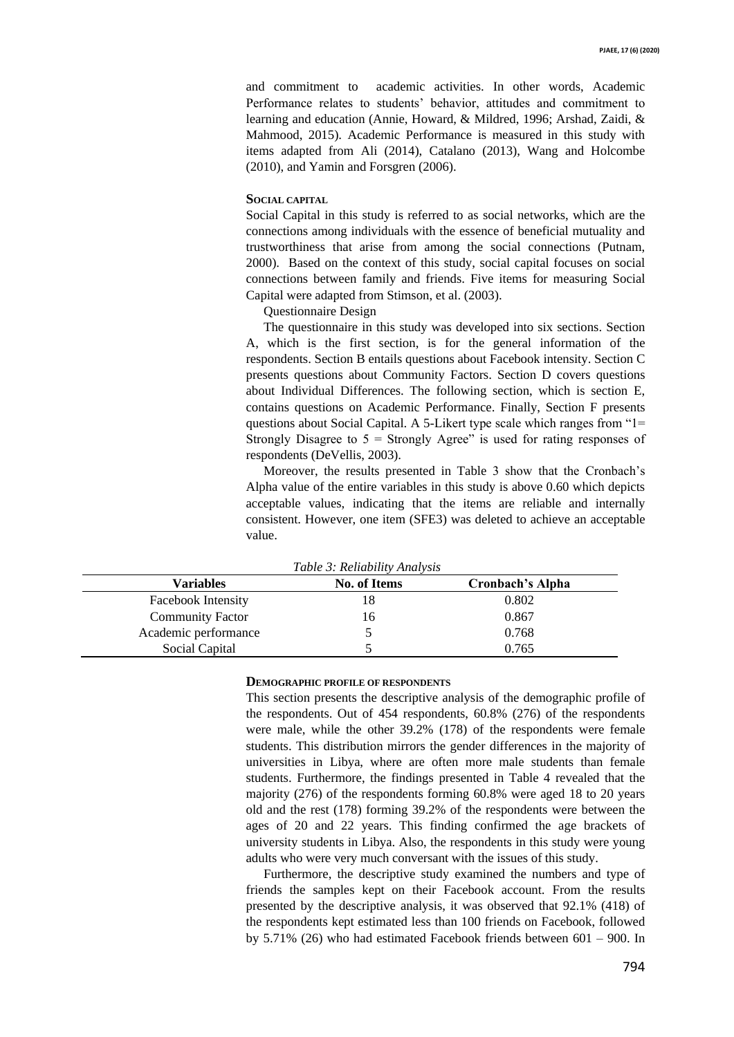and commitment to academic activities. In other words, Academic Performance relates to students' behavior, attitudes and commitment to learning and education (Annie, Howard, & Mildred, 1996; Arshad, Zaidi, & Mahmood, 2015). Academic Performance is measured in this study with items adapted from Ali (2014), Catalano (2013), Wang and Holcombe (2010), and Yamin and Forsgren (2006).

## **SOCIAL CAPITAL**

Social Capital in this study is referred to as social networks, which are the connections among individuals with the essence of beneficial mutuality and trustworthiness that arise from among the social connections (Putnam, 2000). Based on the context of this study, social capital focuses on social connections between family and friends. Five items for measuring Social Capital were adapted from Stimson, et al. (2003).

Questionnaire Design

The questionnaire in this study was developed into six sections. Section A, which is the first section, is for the general information of the respondents. Section B entails questions about Facebook intensity. Section C presents questions about Community Factors. Section D covers questions about Individual Differences. The following section, which is section E, contains questions on Academic Performance. Finally, Section F presents questions about Social Capital. A 5-Likert type scale which ranges from "1= Strongly Disagree to  $5 =$  Strongly Agree" is used for rating responses of respondents (DeVellis, 2003).

Moreover, the results presented in Table 3 show that the Cronbach's Alpha value of the entire variables in this study is above 0.60 which depicts acceptable values, indicating that the items are reliable and internally consistent. However, one item (SFE3) was deleted to achieve an acceptable value.

| <b>Variables</b>          | <b>No. of Items</b> | Cronbach's Alpha |
|---------------------------|---------------------|------------------|
| <b>Facebook Intensity</b> |                     | 0.802            |
| <b>Community Factor</b>   | <sub>0</sub>        | 0.867            |
| Academic performance      |                     | 0.768            |
| Social Capital            |                     | 0.765            |

*Table 3: Reliability Analysis*

## **DEMOGRAPHIC PROFILE OF RESPONDENTS**

This section presents the descriptive analysis of the demographic profile of the respondents. Out of 454 respondents, 60.8% (276) of the respondents were male, while the other 39.2% (178) of the respondents were female students. This distribution mirrors the gender differences in the majority of universities in Libya, where are often more male students than female students. Furthermore, the findings presented in Table 4 revealed that the majority (276) of the respondents forming 60.8% were aged 18 to 20 years old and the rest (178) forming 39.2% of the respondents were between the ages of 20 and 22 years. This finding confirmed the age brackets of university students in Libya. Also, the respondents in this study were young adults who were very much conversant with the issues of this study.

Furthermore, the descriptive study examined the numbers and type of friends the samples kept on their Facebook account. From the results presented by the descriptive analysis, it was observed that 92.1% (418) of the respondents kept estimated less than 100 friends on Facebook, followed by 5.71% (26) who had estimated Facebook friends between 601 – 900. In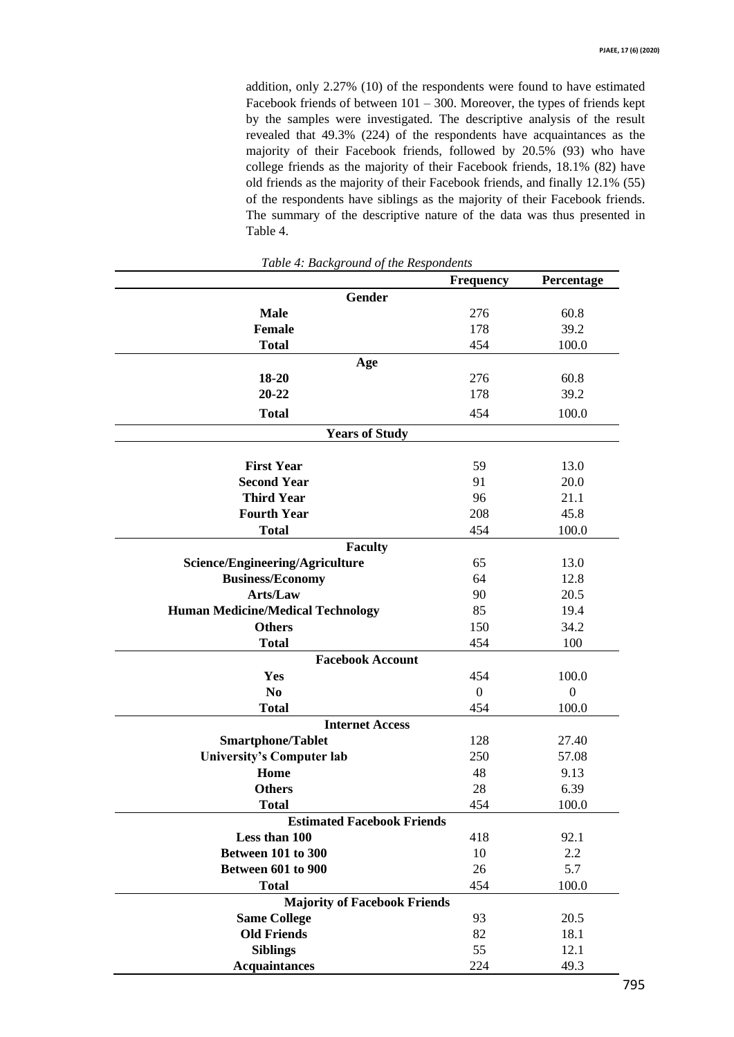addition, only 2.27% (10) of the respondents were found to have estimated Facebook friends of between  $101 - 300$ . Moreover, the types of friends kept by the samples were investigated. The descriptive analysis of the result revealed that 49.3% (224) of the respondents have acquaintances as the majority of their Facebook friends, followed by 20.5% (93) who have college friends as the majority of their Facebook friends, 18.1% (82) have old friends as the majority of their Facebook friends, and finally 12.1% (55) of the respondents have siblings as the majority of their Facebook friends. The summary of the descriptive nature of the data was thus presented in Table 4.

|                                          | <b>Frequency</b> | Percentage       |  |  |
|------------------------------------------|------------------|------------------|--|--|
| <b>Gender</b>                            |                  |                  |  |  |
| <b>Male</b>                              | 276              | 60.8             |  |  |
| <b>Female</b>                            | 178              | 39.2             |  |  |
| <b>Total</b>                             | 454              | 100.0            |  |  |
| Age                                      |                  |                  |  |  |
| 18-20                                    | 276              | 60.8             |  |  |
| 20-22                                    | 178              | 39.2             |  |  |
| <b>Total</b>                             | 454              | 100.0            |  |  |
| <b>Years of Study</b>                    |                  |                  |  |  |
|                                          |                  |                  |  |  |
| <b>First Year</b>                        | 59               | 13.0             |  |  |
| <b>Second Year</b>                       | 91               | 20.0             |  |  |
| <b>Third Year</b>                        | 96               | 21.1             |  |  |
| <b>Fourth Year</b>                       | 208              | 45.8             |  |  |
| <b>Total</b>                             | 454              | 100.0            |  |  |
| <b>Faculty</b>                           |                  |                  |  |  |
| Science/Engineering/Agriculture          | 65               | 13.0             |  |  |
| <b>Business/Economy</b>                  | 64               | 12.8             |  |  |
| Arts/Law                                 | 90               | 20.5             |  |  |
| <b>Human Medicine/Medical Technology</b> | 85               | 19.4             |  |  |
| <b>Others</b>                            | 150              | 34.2             |  |  |
| <b>Total</b>                             | 454              | 100              |  |  |
| <b>Facebook Account</b>                  |                  |                  |  |  |
| Yes                                      | 454              | 100.0            |  |  |
| N <sub>0</sub>                           | $\boldsymbol{0}$ | $\boldsymbol{0}$ |  |  |
| <b>Total</b>                             | 454              | 100.0            |  |  |
| <b>Internet Access</b>                   |                  |                  |  |  |
| <b>Smartphone/Tablet</b>                 | 128              | 27.40            |  |  |
| <b>University's Computer lab</b>         | 250              | 57.08            |  |  |
| Home                                     | 48               | 9.13             |  |  |
| <b>Others</b>                            | 28               | 6.39             |  |  |
| <b>Total</b>                             | 454              | 100.0            |  |  |
| <b>Estimated Facebook Friends</b>        |                  |                  |  |  |
| Less than 100                            | 418              | 92.1             |  |  |
| Between 101 to 300                       | 10               | 2.2              |  |  |
| Between 601 to 900                       | 26               | 5.7              |  |  |
| <b>Total</b>                             | 454              | 100.0            |  |  |
| <b>Majority of Facebook Friends</b>      |                  |                  |  |  |
| <b>Same College</b>                      | 93               | 20.5             |  |  |
| <b>Old Friends</b>                       | 82               | 18.1             |  |  |
| <b>Siblings</b>                          | 55               | 12.1             |  |  |
| <b>Acquaintances</b>                     | 224              | 49.3             |  |  |

*Table 4: Background of the Respondents*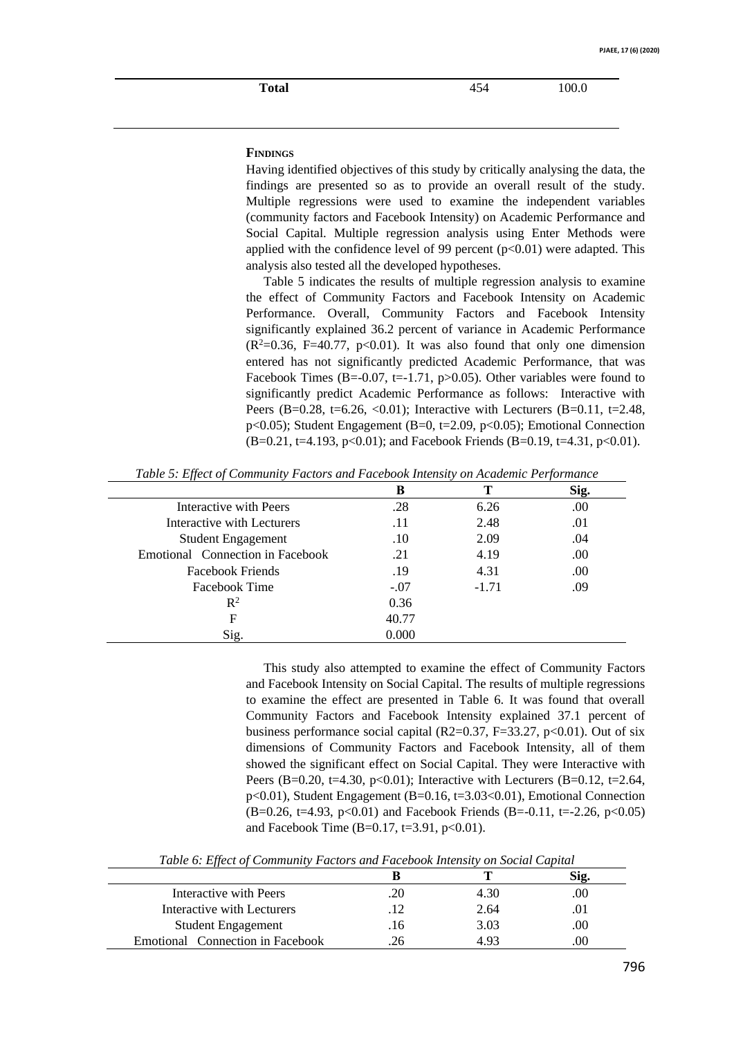**Total** 454 100.0

# **FINDINGS**

Having identified objectives of this study by critically analysing the data, the findings are presented so as to provide an overall result of the study. Multiple regressions were used to examine the independent variables (community factors and Facebook Intensity) on Academic Performance and Social Capital. Multiple regression analysis using Enter Methods were applied with the confidence level of 99 percent  $(p<0.01)$  were adapted. This analysis also tested all the developed hypotheses.

Table 5 indicates the results of multiple regression analysis to examine the effect of Community Factors and Facebook Intensity on Academic Performance. Overall, Community Factors and Facebook Intensity significantly explained 36.2 percent of variance in Academic Performance  $(R^2=0.36, F=40.77, p<0.01)$ . It was also found that only one dimension entered has not significantly predicted Academic Performance, that was Facebook Times (B=-0.07, t=-1.71, p>0.05). Other variables were found to significantly predict Academic Performance as follows: Interactive with Peers (B=0.28, t=6.26, <0.01); Interactive with Lecturers (B=0.11, t=2.48, p<0.05); Student Engagement (B=0, t=2.09, p<0.05); Emotional Connection  $(B=0.21, t=4.193, p<0.01)$ ; and Facebook Friends  $(B=0.19, t=4.31, p<0.01)$ .

|                                  | B      |         | Sig. |
|----------------------------------|--------|---------|------|
| Interactive with Peers           | .28    | 6.26    | .00  |
| Interactive with Lecturers       | .11    | 2.48    | .01  |
| <b>Student Engagement</b>        | .10    | 2.09    | .04  |
| Emotional Connection in Facebook | .21    | 4.19    | .00  |
| Facebook Friends                 | .19    | 4.31    | .00  |
| Facebook Time                    | $-.07$ | $-1.71$ | .09  |
| $\mathbb{R}^2$                   | 0.36   |         |      |
| F                                | 40.77  |         |      |
| Sig.                             | 0.000  |         |      |

*Table 5: Effect of Community Factors and Facebook Intensity on Academic Performance*

This study also attempted to examine the effect of Community Factors and Facebook Intensity on Social Capital. The results of multiple regressions to examine the effect are presented in Table 6. It was found that overall Community Factors and Facebook Intensity explained 37.1 percent of business performance social capital (R2=0.37, F=33.27, p<0.01). Out of six dimensions of Community Factors and Facebook Intensity, all of them showed the significant effect on Social Capital. They were Interactive with Peers (B=0.20, t=4.30, p<0.01); Interactive with Lecturers (B=0.12, t=2.64, p<0.01), Student Engagement (B=0.16, t=3.03<0.01), Emotional Connection  $(B=0.26, t=4.93, p<0.01)$  and Facebook Friends  $(B=-0.11, t=-2.26, p<0.05)$ and Facebook Time (B=0.17, t=3.91, p<0.01).

| Interactive with Peers           |     | 4.30 | .00 |
|----------------------------------|-----|------|-----|
| Interactive with Lecturers       |     | 2.64 |     |
| <b>Student Engagement</b>        | .16 | 3.03 | .00 |
| Emotional Connection in Facebook |     | 4 93 | .00 |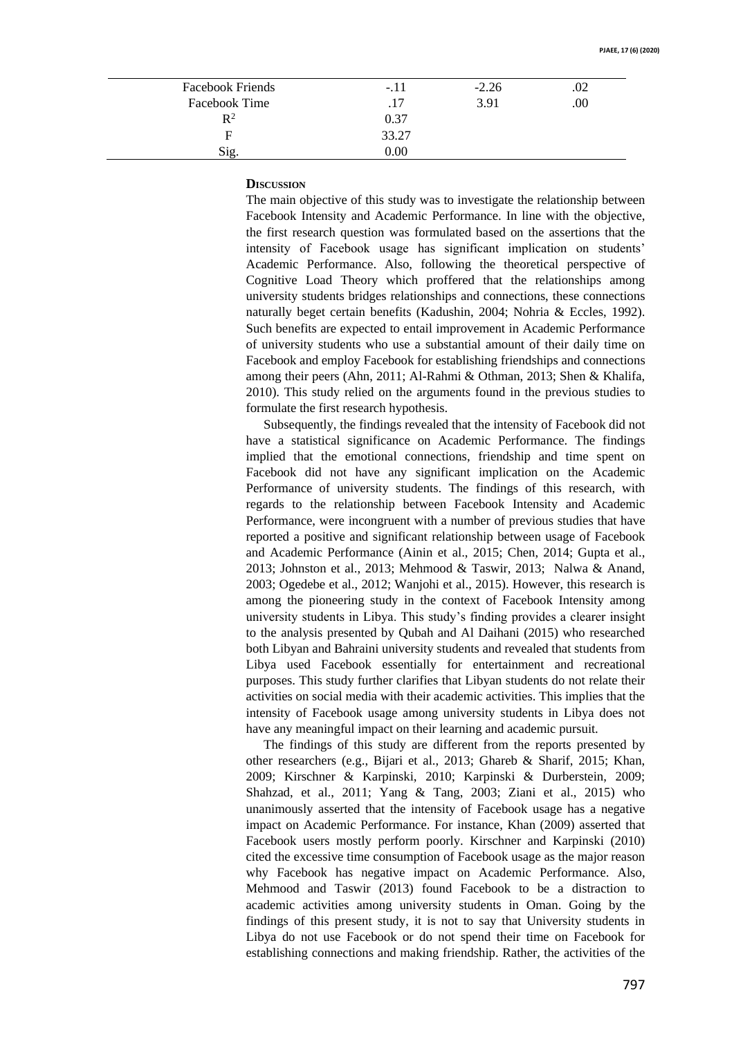| Facebook Friends | $-.11$ | $-2.26$ | .02 |
|------------------|--------|---------|-----|
| Facebook Time    | .17    | 3.91    | .00 |
| $\mathbb{R}^2$   | 0.37   |         |     |
| F                | 33.27  |         |     |
| Sig.             | 0.00   |         |     |

# **DISCUSSION**

The main objective of this study was to investigate the relationship between Facebook Intensity and Academic Performance. In line with the objective, the first research question was formulated based on the assertions that the intensity of Facebook usage has significant implication on students' Academic Performance. Also, following the theoretical perspective of Cognitive Load Theory which proffered that the relationships among university students bridges relationships and connections, these connections naturally beget certain benefits (Kadushin, 2004; Nohria & Eccles, 1992). Such benefits are expected to entail improvement in Academic Performance of university students who use a substantial amount of their daily time on Facebook and employ Facebook for establishing friendships and connections among their peers (Ahn, 2011; Al-Rahmi & Othman, 2013; Shen & Khalifa, 2010). This study relied on the arguments found in the previous studies to formulate the first research hypothesis.

Subsequently, the findings revealed that the intensity of Facebook did not have a statistical significance on Academic Performance. The findings implied that the emotional connections, friendship and time spent on Facebook did not have any significant implication on the Academic Performance of university students. The findings of this research, with regards to the relationship between Facebook Intensity and Academic Performance, were incongruent with a number of previous studies that have reported a positive and significant relationship between usage of Facebook and Academic Performance (Ainin et al., 2015; Chen, 2014; Gupta et al., 2013; Johnston et al., 2013; Mehmood & Taswir, 2013; Nalwa & Anand, 2003; Ogedebe et al., 2012; Wanjohi et al., 2015). However, this research is among the pioneering study in the context of Facebook Intensity among university students in Libya. This study's finding provides a clearer insight to the analysis presented by Qubah and Al Daihani (2015) who researched both Libyan and Bahraini university students and revealed that students from Libya used Facebook essentially for entertainment and recreational purposes. This study further clarifies that Libyan students do not relate their activities on social media with their academic activities. This implies that the intensity of Facebook usage among university students in Libya does not have any meaningful impact on their learning and academic pursuit.

The findings of this study are different from the reports presented by other researchers (e.g., Bijari et al., 2013; Ghareb & Sharif, 2015; Khan, 2009; Kirschner & Karpinski, 2010; Karpinski & Durberstein, 2009; Shahzad, et al., 2011; Yang & Tang, 2003; Ziani et al., 2015) who unanimously asserted that the intensity of Facebook usage has a negative impact on Academic Performance. For instance, Khan (2009) asserted that Facebook users mostly perform poorly. Kirschner and Karpinski (2010) cited the excessive time consumption of Facebook usage as the major reason why Facebook has negative impact on Academic Performance. Also, Mehmood and Taswir (2013) found Facebook to be a distraction to academic activities among university students in Oman. Going by the findings of this present study, it is not to say that University students in Libya do not use Facebook or do not spend their time on Facebook for establishing connections and making friendship. Rather, the activities of the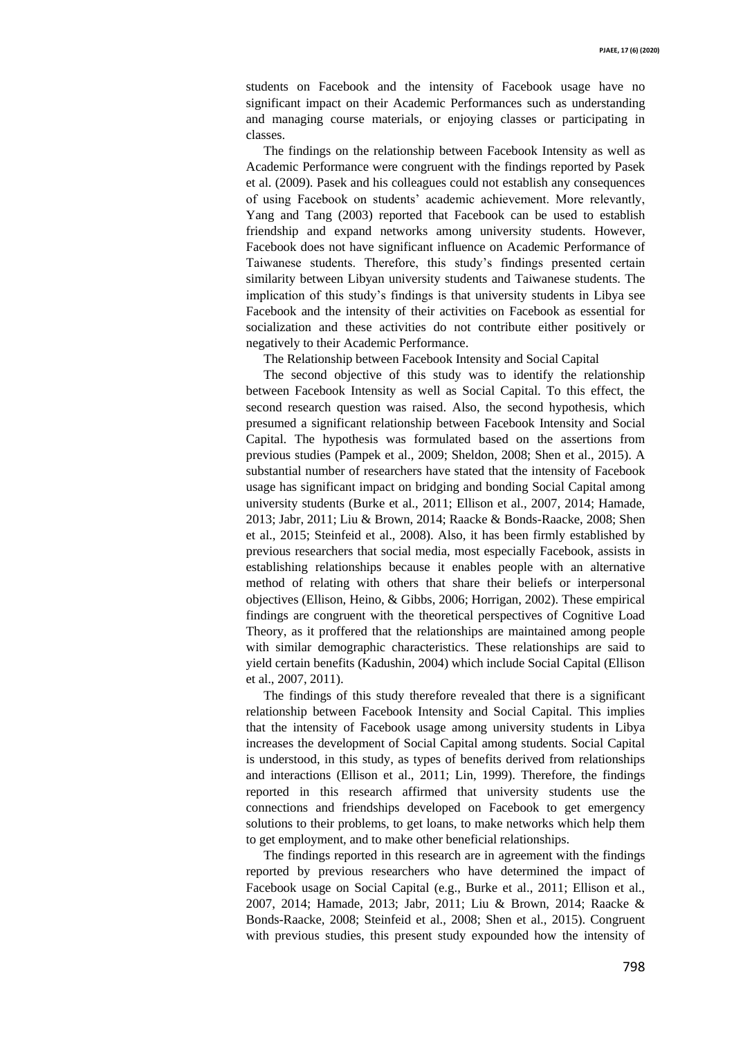students on Facebook and the intensity of Facebook usage have no significant impact on their Academic Performances such as understanding and managing course materials, or enjoying classes or participating in classes.

The findings on the relationship between Facebook Intensity as well as Academic Performance were congruent with the findings reported by Pasek et al. (2009). Pasek and his colleagues could not establish any consequences of using Facebook on students' academic achievement. More relevantly, Yang and Tang (2003) reported that Facebook can be used to establish friendship and expand networks among university students. However, Facebook does not have significant influence on Academic Performance of Taiwanese students. Therefore, this study's findings presented certain similarity between Libyan university students and Taiwanese students. The implication of this study's findings is that university students in Libya see Facebook and the intensity of their activities on Facebook as essential for socialization and these activities do not contribute either positively or negatively to their Academic Performance.

The Relationship between Facebook Intensity and Social Capital

The second objective of this study was to identify the relationship between Facebook Intensity as well as Social Capital. To this effect, the second research question was raised. Also, the second hypothesis, which presumed a significant relationship between Facebook Intensity and Social Capital. The hypothesis was formulated based on the assertions from previous studies (Pampek et al., 2009; Sheldon, 2008; Shen et al., 2015). A substantial number of researchers have stated that the intensity of Facebook usage has significant impact on bridging and bonding Social Capital among university students (Burke et al., 2011; Ellison et al., 2007, 2014; Hamade, 2013; Jabr, 2011; Liu & Brown, 2014; Raacke & Bonds-Raacke, 2008; Shen et al., 2015; Steinfeid et al., 2008). Also, it has been firmly established by previous researchers that social media, most especially Facebook, assists in establishing relationships because it enables people with an alternative method of relating with others that share their beliefs or interpersonal objectives (Ellison, Heino, & Gibbs, 2006; Horrigan, 2002). These empirical findings are congruent with the theoretical perspectives of Cognitive Load Theory, as it proffered that the relationships are maintained among people with similar demographic characteristics. These relationships are said to yield certain benefits (Kadushin, 2004) which include Social Capital (Ellison et al., 2007, 2011).

The findings of this study therefore revealed that there is a significant relationship between Facebook Intensity and Social Capital. This implies that the intensity of Facebook usage among university students in Libya increases the development of Social Capital among students. Social Capital is understood, in this study, as types of benefits derived from relationships and interactions (Ellison et al., 2011; Lin, 1999). Therefore, the findings reported in this research affirmed that university students use the connections and friendships developed on Facebook to get emergency solutions to their problems, to get loans, to make networks which help them to get employment, and to make other beneficial relationships.

The findings reported in this research are in agreement with the findings reported by previous researchers who have determined the impact of Facebook usage on Social Capital (e.g., Burke et al., 2011; Ellison et al., 2007, 2014; Hamade, 2013; Jabr, 2011; Liu & Brown, 2014; Raacke & Bonds-Raacke, 2008; Steinfeid et al., 2008; Shen et al., 2015). Congruent with previous studies, this present study expounded how the intensity of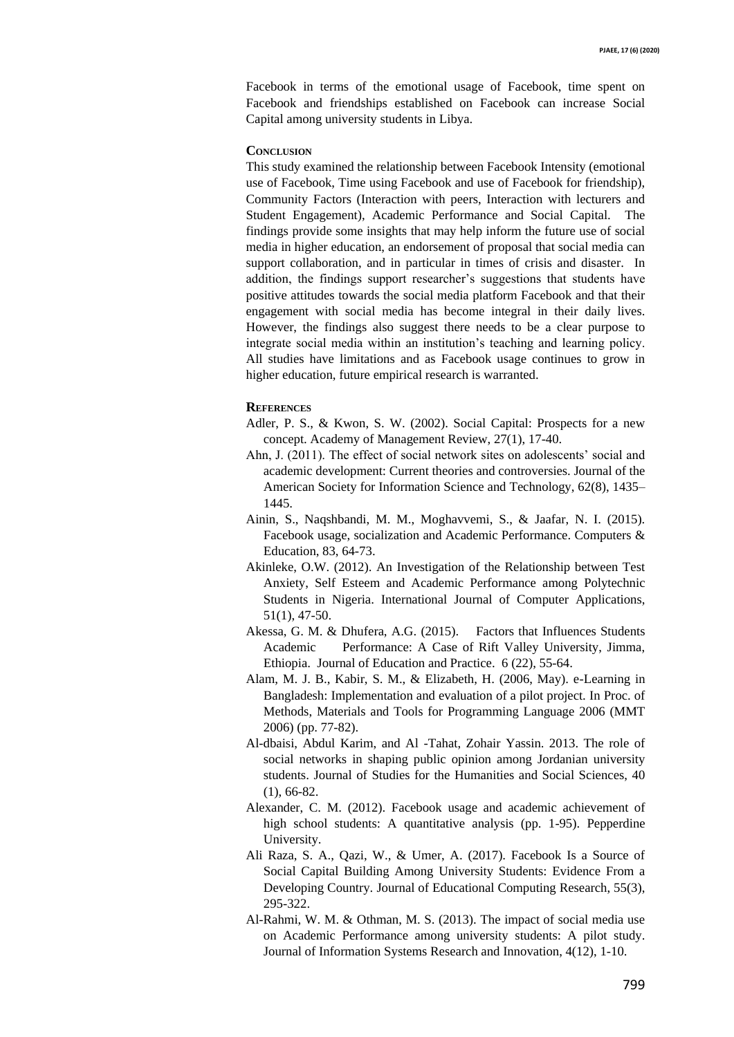Facebook in terms of the emotional usage of Facebook, time spent on Facebook and friendships established on Facebook can increase Social Capital among university students in Libya.

#### **CONCLUSION**

This study examined the relationship between Facebook Intensity (emotional use of Facebook, Time using Facebook and use of Facebook for friendship), Community Factors (Interaction with peers, Interaction with lecturers and Student Engagement), Academic Performance and Social Capital. The findings provide some insights that may help inform the future use of social media in higher education, an endorsement of proposal that social media can support collaboration, and in particular in times of crisis and disaster. In addition, the findings support researcher's suggestions that students have positive attitudes towards the social media platform Facebook and that their engagement with social media has become integral in their daily lives. However, the findings also suggest there needs to be a clear purpose to integrate social media within an institution's teaching and learning policy. All studies have limitations and as Facebook usage continues to grow in higher education, future empirical research is warranted.

#### **REFERENCES**

- Adler, P. S., & Kwon, S. W. (2002). Social Capital: Prospects for a new concept. Academy of Management Review, 27(1), 17-40.
- Ahn, J. (2011). The effect of social network sites on adolescents' social and academic development: Current theories and controversies. Journal of the American Society for Information Science and Technology, 62(8), 1435– 1445.
- Ainin, S., Naqshbandi, M. M., Moghavvemi, S., & Jaafar, N. I. (2015). Facebook usage, socialization and Academic Performance. Computers & Education, 83, 64-73.
- Akinleke, O.W. (2012). An Investigation of the Relationship between Test Anxiety, Self Esteem and Academic Performance among Polytechnic Students in Nigeria. International Journal of Computer Applications, 51(1), 47-50.
- Akessa, G. M. & Dhufera, A.G. (2015). Factors that Influences Students Academic Performance: A Case of Rift Valley University, Jimma, Ethiopia. Journal of Education and Practice. 6 (22), 55-64.
- Alam, M. J. B., Kabir, S. M., & Elizabeth, H. (2006, May). e-Learning in Bangladesh: Implementation and evaluation of a pilot project. In Proc. of Methods, Materials and Tools for Programming Language 2006 (MMT 2006) (pp. 77-82).
- Al-dbaisi, Abdul Karim, and Al -Tahat, Zohair Yassin. 2013. The role of social networks in shaping public opinion among Jordanian university students. Journal of Studies for the Humanities and Social Sciences, 40 (1), 66-82.
- Alexander, C. M. (2012). Facebook usage and academic achievement of high school students: A quantitative analysis (pp. 1-95). Pepperdine University.
- Ali Raza, S. A., Qazi, W., & Umer, A. (2017). Facebook Is a Source of Social Capital Building Among University Students: Evidence From a Developing Country. Journal of Educational Computing Research, 55(3), 295-322.
- Al-Rahmi, W. M. & Othman, M. S. (2013). The impact of social media use on Academic Performance among university students: A pilot study. Journal of Information Systems Research and Innovation, 4(12), 1-10.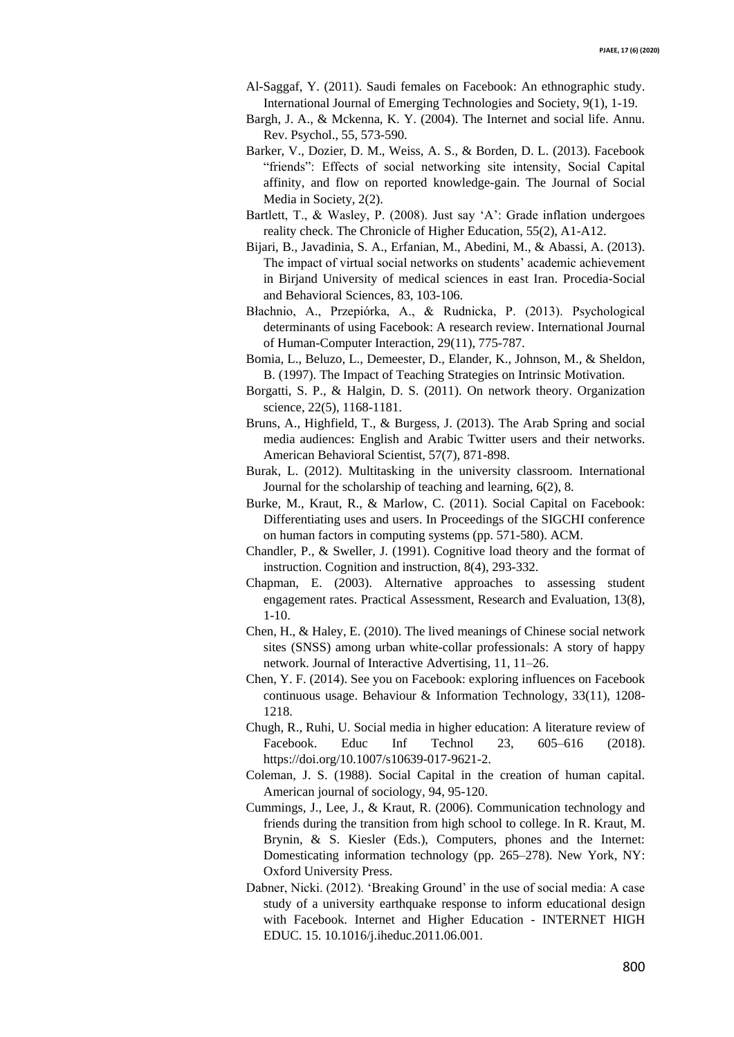- Al-Saggaf, Y. (2011). Saudi females on Facebook: An ethnographic study. International Journal of Emerging Technologies and Society, 9(1), 1-19.
- Bargh, J. A., & Mckenna, K. Y. (2004). The Internet and social life. Annu. Rev. Psychol., 55, 573-590.
- Barker, V., Dozier, D. M., Weiss, A. S., & Borden, D. L. (2013). Facebook "friends": Effects of social networking site intensity, Social Capital affinity, and flow on reported knowledge-gain. The Journal of Social Media in Society, 2(2).
- Bartlett, T., & Wasley, P. (2008). Just say 'A': Grade inflation undergoes reality check. The Chronicle of Higher Education, 55(2), A1-A12.
- Bijari, B., Javadinia, S. A., Erfanian, M., Abedini, M., & Abassi, A. (2013). The impact of virtual social networks on students' academic achievement in Birjand University of medical sciences in east Iran. Procedia-Social and Behavioral Sciences, 83, 103-106.
- Błachnio, A., Przepiórka, A., & Rudnicka, P. (2013). Psychological determinants of using Facebook: A research review. International Journal of Human-Computer Interaction, 29(11), 775-787.
- Bomia, L., Beluzo, L., Demeester, D., Elander, K., Johnson, M., & Sheldon, B. (1997). The Impact of Teaching Strategies on Intrinsic Motivation.
- Borgatti, S. P., & Halgin, D. S. (2011). On network theory. Organization science, 22(5), 1168-1181.
- Bruns, A., Highfield, T., & Burgess, J. (2013). The Arab Spring and social media audiences: English and Arabic Twitter users and their networks. American Behavioral Scientist, 57(7), 871-898.
- Burak, L. (2012). Multitasking in the university classroom. International Journal for the scholarship of teaching and learning, 6(2), 8.
- Burke, M., Kraut, R., & Marlow, C. (2011). Social Capital on Facebook: Differentiating uses and users. In Proceedings of the SIGCHI conference on human factors in computing systems (pp. 571-580). ACM.
- Chandler, P., & Sweller, J. (1991). Cognitive load theory and the format of instruction. Cognition and instruction, 8(4), 293-332.
- Chapman, E. (2003). Alternative approaches to assessing student engagement rates. Practical Assessment, Research and Evaluation, 13(8), 1-10.
- Chen, H., & Haley, E. (2010). The lived meanings of Chinese social network sites (SNSS) among urban white-collar professionals: A story of happy network. Journal of Interactive Advertising, 11, 11–26.
- Chen, Y. F. (2014). See you on Facebook: exploring influences on Facebook continuous usage. Behaviour & Information Technology, 33(11), 1208- 1218.
- Chugh, R., Ruhi, U. Social media in higher education: A literature review of Facebook. Educ Inf Technol 23, 605–616 (2018). https://doi.org/10.1007/s10639-017-9621-2.
- Coleman, J. S. (1988). Social Capital in the creation of human capital. American journal of sociology, 94, 95-120.
- Cummings, J., Lee, J., & Kraut, R. (2006). Communication technology and friends during the transition from high school to college. In R. Kraut, M. Brynin, & S. Kiesler (Eds.), Computers, phones and the Internet: Domesticating information technology (pp. 265–278). New York, NY: Oxford University Press.
- Dabner, Nicki. (2012). 'Breaking Ground' in the use of social media: A case study of a university earthquake response to inform educational design with Facebook. Internet and Higher Education - INTERNET HIGH EDUC. 15. 10.1016/j.iheduc.2011.06.001.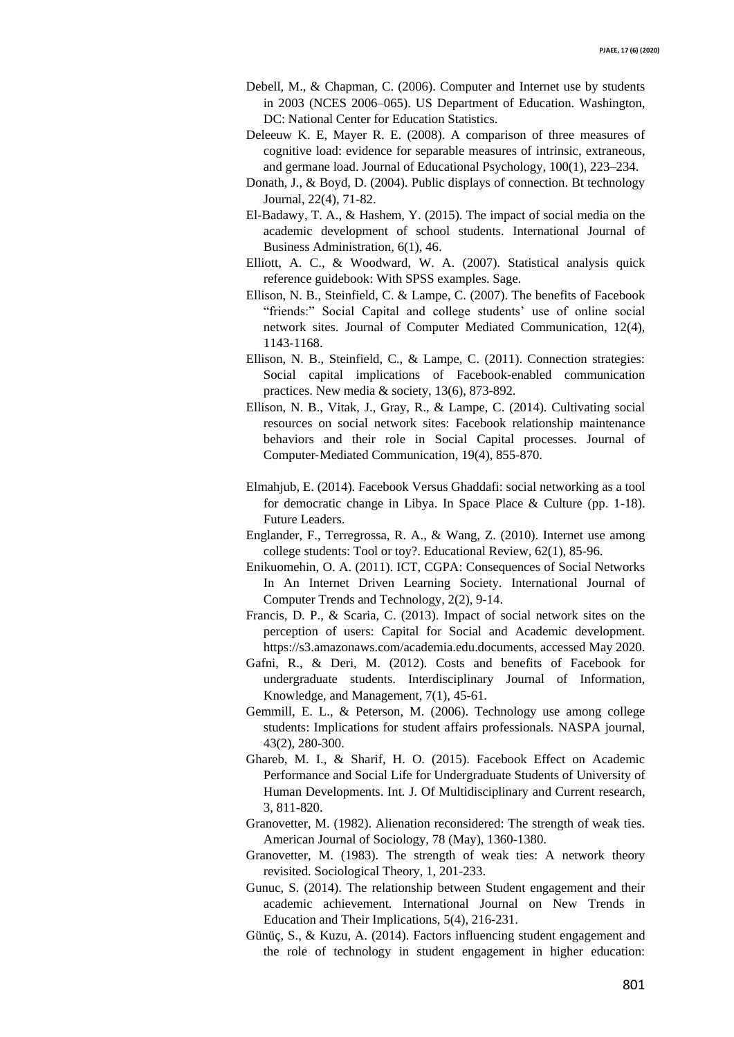- Debell, M., & Chapman, C. (2006). Computer and Internet use by students in 2003 (NCES 2006–065). US Department of Education. Washington, DC: National Center for Education Statistics.
- Deleeuw K. E, Mayer R. E. (2008). A comparison of three measures of cognitive load: evidence for separable measures of intrinsic, extraneous, and germane load. Journal of Educational Psychology, 100(1), 223–234.
- Donath, J., & Boyd, D. (2004). Public displays of connection. Bt technology Journal, 22(4), 71-82.
- El-Badawy, T. A., & Hashem, Y. (2015). The impact of social media on the academic development of school students. International Journal of Business Administration, 6(1), 46.
- Elliott, A. C., & Woodward, W. A. (2007). Statistical analysis quick reference guidebook: With SPSS examples. Sage.
- Ellison, N. B., Steinfield, C. & Lampe, C. (2007). The benefits of Facebook "friends:" Social Capital and college students' use of online social network sites. Journal of Computer Mediated Communication, 12(4), 1143-1168.
- Ellison, N. B., Steinfield, C., & Lampe, C. (2011). Connection strategies: Social capital implications of Facebook-enabled communication practices. New media & society, 13(6), 873-892.
- Ellison, N. B., Vitak, J., Gray, R., & Lampe, C. (2014). Cultivating social resources on social network sites: Facebook relationship maintenance behaviors and their role in Social Capital processes. Journal of Computer‐Mediated Communication, 19(4), 855-870.
- Elmahjub, E. (2014). Facebook Versus Ghaddafi: social networking as a tool for democratic change in Libya. In Space Place & Culture (pp. 1-18). Future Leaders.
- Englander, F., Terregrossa, R. A., & Wang, Z. (2010). Internet use among college students: Tool or toy?. Educational Review, 62(1), 85-96.
- Enikuomehin, O. A. (2011). ICT, CGPA: Consequences of Social Networks In An Internet Driven Learning Society. International Journal of Computer Trends and Technology, 2(2), 9-14.
- Francis, D. P., & Scaria, C. (2013). Impact of social network sites on the perception of users: Capital for Social and Academic development. https://s3.amazonaws.com/academia.edu.documents, accessed May 2020.
- Gafni, R., & Deri, M. (2012). Costs and benefits of Facebook for undergraduate students. Interdisciplinary Journal of Information, Knowledge, and Management, 7(1), 45-61.
- Gemmill, E. L., & Peterson, M. (2006). Technology use among college students: Implications for student affairs professionals. NASPA journal, 43(2), 280-300.
- Ghareb, M. I., & Sharif, H. O. (2015). Facebook Effect on Academic Performance and Social Life for Undergraduate Students of University of Human Developments. Int. J. Of Multidisciplinary and Current research, 3, 811-820.
- Granovetter, M. (1982). Alienation reconsidered: The strength of weak ties. American Journal of Sociology, 78 (May), 1360-1380.
- Granovetter, M. (1983). The strength of weak ties: A network theory revisited. Sociological Theory, 1, 201-233.
- Gunuc, S. (2014). The relationship between Student engagement and their academic achievement. International Journal on New Trends in Education and Their Implications, 5(4), 216-231.
- Günüç, S., & Kuzu, A. (2014). Factors influencing student engagement and the role of technology in student engagement in higher education: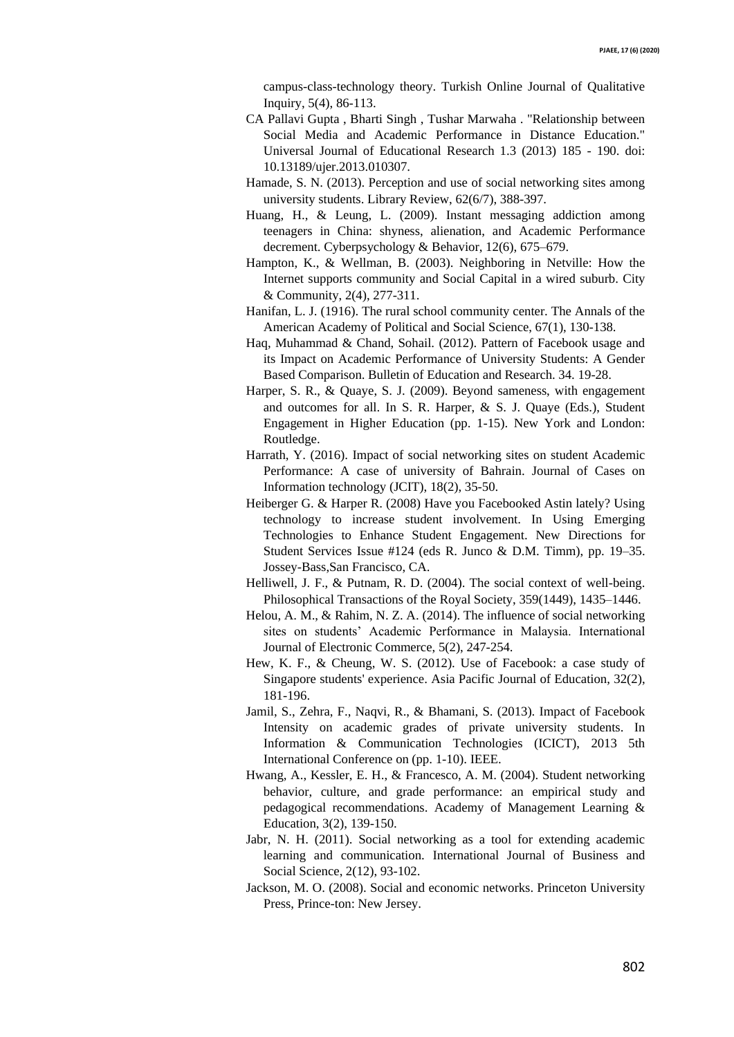campus-class-technology theory. Turkish Online Journal of Qualitative Inquiry, 5(4), 86-113.

- CA Pallavi Gupta , Bharti Singh , Tushar Marwaha . "Relationship between Social Media and Academic Performance in Distance Education." Universal Journal of Educational Research 1.3 (2013) 185 - 190. doi: 10.13189/ujer.2013.010307.
- Hamade, S. N. (2013). Perception and use of social networking sites among university students. Library Review, 62(6/7), 388-397.
- Huang, H., & Leung, L. (2009). Instant messaging addiction among teenagers in China: shyness, alienation, and Academic Performance decrement. Cyberpsychology & Behavior, 12(6), 675–679.
- Hampton, K., & Wellman, B. (2003). Neighboring in Netville: How the Internet supports community and Social Capital in a wired suburb. City & Community, 2(4), 277-311.
- Hanifan, L. J. (1916). The rural school community center. The Annals of the American Academy of Political and Social Science, 67(1), 130-138.
- Haq, Muhammad & Chand, Sohail. (2012). Pattern of Facebook usage and its Impact on Academic Performance of University Students: A Gender Based Comparison. Bulletin of Education and Research. 34. 19-28.
- Harper, S. R., & Quaye, S. J. (2009). Beyond sameness, with engagement and outcomes for all. In S. R. Harper, & S. J. Quaye (Eds.), Student Engagement in Higher Education (pp. 1-15). New York and London: Routledge.
- Harrath, Y. (2016). Impact of social networking sites on student Academic Performance: A case of university of Bahrain. Journal of Cases on Information technology (JCIT), 18(2), 35-50.
- Heiberger G. & Harper R. (2008) Have you Facebooked Astin lately? Using technology to increase student involvement. In Using Emerging Technologies to Enhance Student Engagement. New Directions for Student Services Issue #124 (eds R. Junco & D.M. Timm), pp. 19–35. Jossey-Bass,San Francisco, CA.
- Helliwell, J. F., & Putnam, R. D. (2004). The social context of well-being. Philosophical Transactions of the Royal Society, 359(1449), 1435–1446.
- Helou, A. M., & Rahim, N. Z. A. (2014). The influence of social networking sites on students' Academic Performance in Malaysia. International Journal of Electronic Commerce, 5(2), 247-254.
- Hew, K. F., & Cheung, W. S. (2012). Use of Facebook: a case study of Singapore students' experience. Asia Pacific Journal of Education, 32(2), 181-196.
- Jamil, S., Zehra, F., Naqvi, R., & Bhamani, S. (2013). Impact of Facebook Intensity on academic grades of private university students. In Information & Communication Technologies (ICICT), 2013 5th International Conference on (pp. 1-10). IEEE.
- Hwang, A., Kessler, E. H., & Francesco, A. M. (2004). Student networking behavior, culture, and grade performance: an empirical study and pedagogical recommendations. Academy of Management Learning & Education, 3(2), 139-150.
- Jabr, N. H. (2011). Social networking as a tool for extending academic learning and communication. International Journal of Business and Social Science, 2(12), 93-102.
- Jackson, M. O. (2008). Social and economic networks. Princeton University Press, Prince-ton: New Jersey.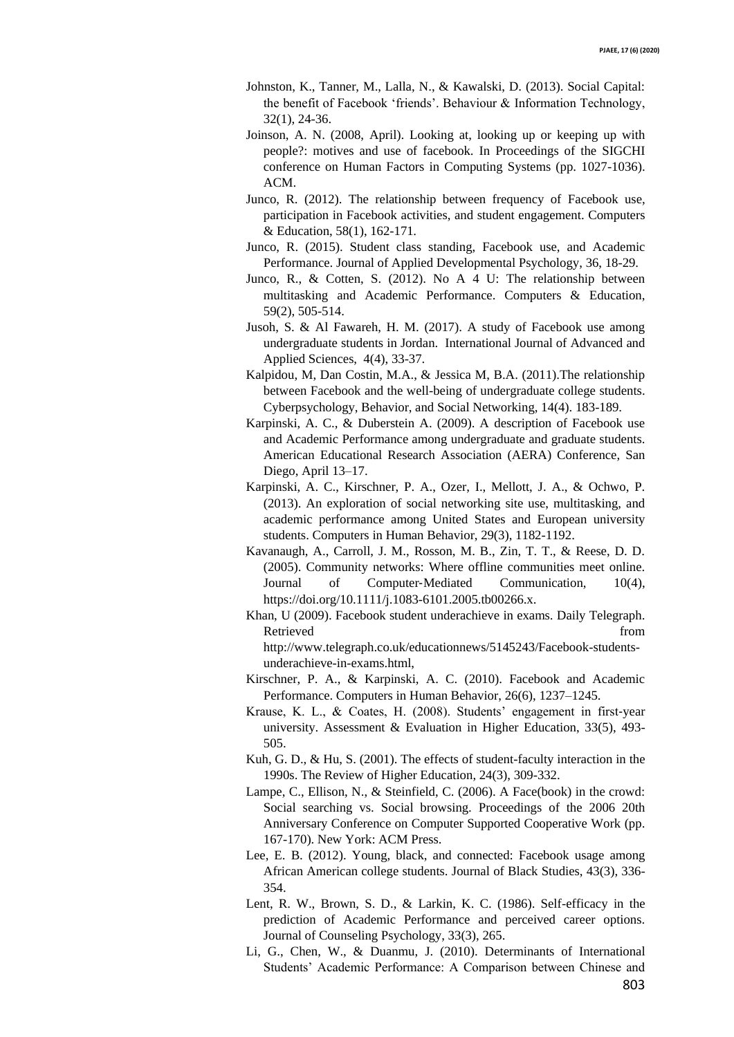- Johnston, K., Tanner, M., Lalla, N., & Kawalski, D. (2013). Social Capital: the benefit of Facebook 'friends'. Behaviour & Information Technology, 32(1), 24-36.
- Joinson, A. N. (2008, April). Looking at, looking up or keeping up with people?: motives and use of facebook. In Proceedings of the SIGCHI conference on Human Factors in Computing Systems (pp. 1027-1036). ACM.
- Junco, R. (2012). The relationship between frequency of Facebook use, participation in Facebook activities, and student engagement. Computers & Education, 58(1), 162-171.
- Junco, R. (2015). Student class standing, Facebook use, and Academic Performance. Journal of Applied Developmental Psychology, 36, 18-29.
- Junco, R., & Cotten, S. (2012). No A 4 U: The relationship between multitasking and Academic Performance. Computers & Education, 59(2), 505-514.
- Jusoh, S. & Al Fawareh, H. M. (2017). A study of Facebook use among undergraduate students in Jordan. International Journal of Advanced and Applied Sciences, 4(4), 33-37.
- Kalpidou, M, Dan Costin, M.A., & Jessica M, B.A. (2011).The relationship between Facebook and the well-being of undergraduate college students. Cyberpsychology, Behavior, and Social Networking, 14(4). 183-189.
- Karpinski, A. C., & Duberstein A. (2009). A description of Facebook use and Academic Performance among undergraduate and graduate students. American Educational Research Association (AERA) Conference, San Diego, April 13–17.
- Karpinski, A. C., Kirschner, P. A., Ozer, I., Mellott, J. A., & Ochwo, P. (2013). An exploration of social networking site use, multitasking, and academic performance among United States and European university students. Computers in Human Behavior, 29(3), 1182-1192.
- Kavanaugh, A., Carroll, J. M., Rosson, M. B., Zin, T. T., & Reese, D. D. (2005). Community networks: Where offline communities meet online. Journal of Computer‐Mediated Communication, 10(4), https://doi.org/10.1111/j.1083-6101.2005.tb00266.x.
- Khan, U (2009). Facebook student underachieve in exams. Daily Telegraph. Retrieved from  $\blacksquare$ http://www.telegraph.co.uk/educationnews/5145243/Facebook-studentsunderachieve-in-exams.html,
- Kirschner, P. A., & Karpinski, A. C. (2010). Facebook and Academic Performance. Computers in Human Behavior, 26(6), 1237–1245.
- Krause, K. L., & Coates, H. (2008). Students' engagement in first‐year university. Assessment & Evaluation in Higher Education, 33(5), 493- 505.
- Kuh, G. D., & Hu, S. (2001). The effects of student-faculty interaction in the 1990s. The Review of Higher Education, 24(3), 309-332.
- Lampe, C., Ellison, N., & Steinfield, C. (2006). A Face(book) in the crowd: Social searching vs. Social browsing. Proceedings of the 2006 20th Anniversary Conference on Computer Supported Cooperative Work (pp. 167-170). New York: ACM Press.
- Lee, E. B. (2012). Young, black, and connected: Facebook usage among African American college students. Journal of Black Studies, 43(3), 336- 354.
- Lent, R. W., Brown, S. D., & Larkin, K. C. (1986). Self-efficacy in the prediction of Academic Performance and perceived career options. Journal of Counseling Psychology, 33(3), 265.
- Li, G., Chen, W., & Duanmu, J. (2010). Determinants of International Students' Academic Performance: A Comparison between Chinese and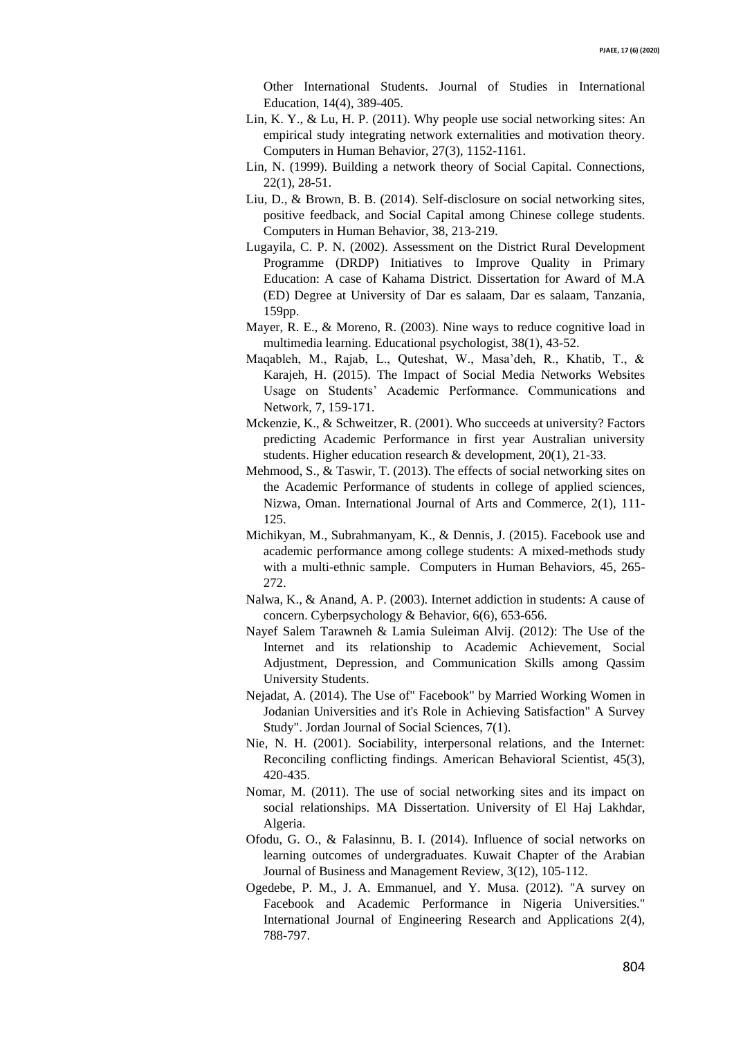Other International Students. Journal of Studies in International Education, 14(4), 389-405.

- Lin, K. Y., & Lu, H. P. (2011). Why people use social networking sites: An empirical study integrating network externalities and motivation theory. Computers in Human Behavior, 27(3), 1152-1161.
- Lin, N. (1999). Building a network theory of Social Capital. Connections, 22(1), 28-51.
- Liu, D., & Brown, B. B. (2014). Self-disclosure on social networking sites, positive feedback, and Social Capital among Chinese college students. Computers in Human Behavior, 38, 213-219.
- Lugayila, C. P. N. (2002). Assessment on the District Rural Development Programme (DRDP) Initiatives to Improve Quality in Primary Education: A case of Kahama District. Dissertation for Award of M.A (ED) Degree at University of Dar es salaam, Dar es salaam, Tanzania, 159pp.
- Mayer, R. E., & Moreno, R. (2003). Nine ways to reduce cognitive load in multimedia learning. Educational psychologist, 38(1), 43-52.
- Maqableh, M., Rajab, L., Quteshat, W., Masa'deh, R., Khatib, T., & Karajeh, H. (2015). The Impact of Social Media Networks Websites Usage on Students' Academic Performance. Communications and Network, 7, 159-171.
- Mckenzie, K., & Schweitzer, R. (2001). Who succeeds at university? Factors predicting Academic Performance in first year Australian university students. Higher education research & development, 20(1), 21-33.
- Mehmood, S., & Taswir, T. (2013). The effects of social networking sites on the Academic Performance of students in college of applied sciences, Nizwa, Oman. International Journal of Arts and Commerce, 2(1), 111- 125.
- Michikyan, M., Subrahmanyam, K., & Dennis, J. (2015). Facebook use and academic performance among college students: A mixed-methods study with a multi-ethnic sample. Computers in Human Behaviors, 45, 265- 272.
- Nalwa, K., & Anand, A. P. (2003). Internet addiction in students: A cause of concern. Cyberpsychology & Behavior, 6(6), 653-656.
- Nayef Salem Tarawneh & Lamia Suleiman Alvij. (2012): The Use of the Internet and its relationship to Academic Achievement, Social Adjustment, Depression, and Communication Skills among Qassim University Students.
- Nejadat, A. (2014). The Use of" Facebook" by Married Working Women in Jodanian Universities and it's Role in Achieving Satisfaction" A Survey Study". Jordan Journal of Social Sciences, 7(1).
- Nie, N. H. (2001). Sociability, interpersonal relations, and the Internet: Reconciling conflicting findings. American Behavioral Scientist, 45(3), 420-435.
- Nomar, M. (2011). The use of social networking sites and its impact on social relationships. MA Dissertation. University of El Haj Lakhdar, Algeria.
- Ofodu, G. O., & Falasinnu, B. I. (2014). Influence of social networks on learning outcomes of undergraduates. Kuwait Chapter of the Arabian Journal of Business and Management Review, 3(12), 105-112.
- Ogedebe, P. M., J. A. Emmanuel, and Y. Musa. (2012). "A survey on Facebook and Academic Performance in Nigeria Universities." International Journal of Engineering Research and Applications 2(4), 788-797.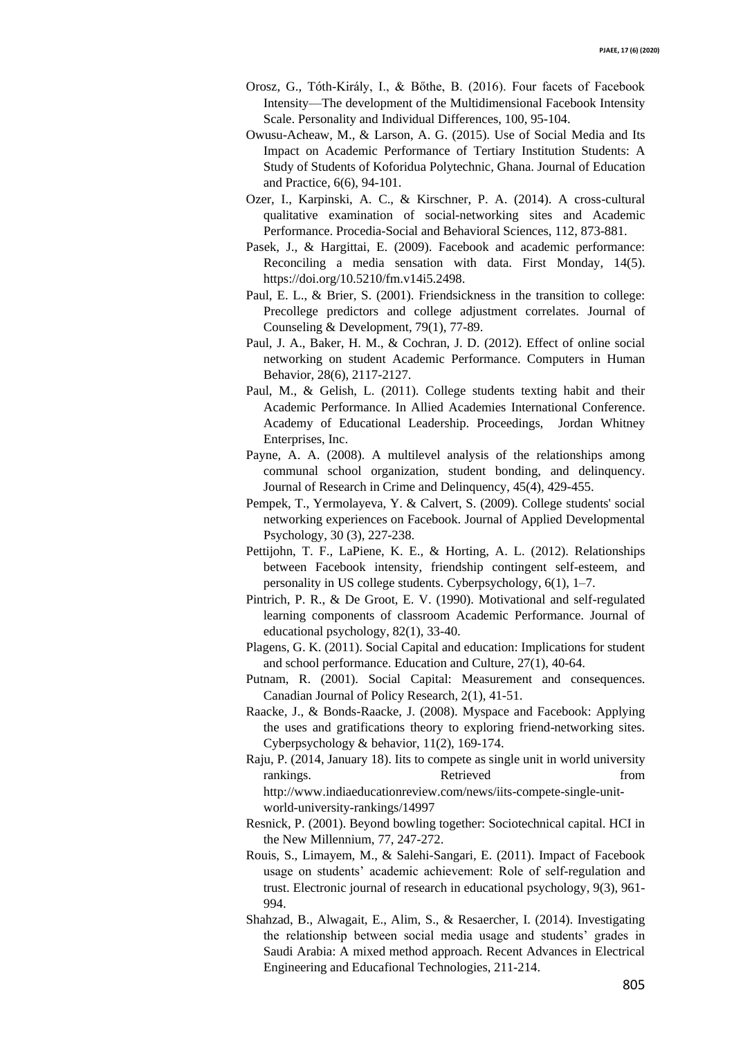- Orosz, G., Tóth-Király, I., & Bőthe, B. (2016). Four facets of Facebook Intensity—The development of the Multidimensional Facebook Intensity Scale. Personality and Individual Differences, 100, 95-104.
- Owusu-Acheaw, M., & Larson, A. G. (2015). Use of Social Media and Its Impact on Academic Performance of Tertiary Institution Students: A Study of Students of Koforidua Polytechnic, Ghana. Journal of Education and Practice, 6(6), 94-101.
- Ozer, I., Karpinski, A. C., & Kirschner, P. A. (2014). A cross-cultural qualitative examination of social-networking sites and Academic Performance. Procedia-Social and Behavioral Sciences, 112, 873-881.
- Pasek, J., & Hargittai, E. (2009). Facebook and academic performance: Reconciling a media sensation with data. First Monday, 14(5). https://doi.org/10.5210/fm.v14i5.2498.
- Paul, E. L., & Brier, S. (2001). Friendsickness in the transition to college: Precollege predictors and college adjustment correlates. Journal of Counseling & Development, 79(1), 77-89.
- Paul, J. A., Baker, H. M., & Cochran, J. D. (2012). Effect of online social networking on student Academic Performance. Computers in Human Behavior, 28(6), 2117-2127.
- Paul, M., & Gelish, L. (2011). College students texting habit and their Academic Performance. In Allied Academies International Conference. Academy of Educational Leadership. Proceedings, Jordan Whitney Enterprises, Inc.
- Payne, A. A. (2008). A multilevel analysis of the relationships among communal school organization, student bonding, and delinquency. Journal of Research in Crime and Delinquency, 45(4), 429-455.
- Pempek, T., Yermolayeva, Y. & Calvert, S. (2009). College students' social networking experiences on Facebook. Journal of Applied Developmental Psychology, 30 (3), 227-238.
- Pettijohn, T. F., LaPiene, K. E., & Horting, A. L. (2012). Relationships between Facebook intensity, friendship contingent self-esteem, and personality in US college students. Cyberpsychology, 6(1), 1–7.
- Pintrich, P. R., & De Groot, E. V. (1990). Motivational and self-regulated learning components of classroom Academic Performance. Journal of educational psychology, 82(1), 33-40.
- Plagens, G. K. (2011). Social Capital and education: Implications for student and school performance. Education and Culture, 27(1), 40-64.
- Putnam, R. (2001). Social Capital: Measurement and consequences. Canadian Journal of Policy Research, 2(1), 41-51.
- Raacke, J., & Bonds-Raacke, J. (2008). Myspace and Facebook: Applying the uses and gratifications theory to exploring friend-networking sites. Cyberpsychology & behavior, 11(2), 169-174.
- Raju, P. (2014, January 18). Iits to compete as single unit in world university rankings. Retrieved From http://www.indiaeducationreview.com/news/iits-compete-single-unitworld-university-rankings/14997
- Resnick, P. (2001). Beyond bowling together: Sociotechnical capital. HCI in the New Millennium, 77, 247-272.
- Rouis, S., Limayem, M., & Salehi-Sangari, E. (2011). Impact of Facebook usage on students' academic achievement: Role of self-regulation and trust. Electronic journal of research in educational psychology, 9(3), 961- 994.
- Shahzad, B., Alwagait, E., Alim, S., & Resaercher, I. (2014). Investigating the relationship between social media usage and students' grades in Saudi Arabia: A mixed method approach. Recent Advances in Electrical Engineering and Educafional Technologies, 211-214.